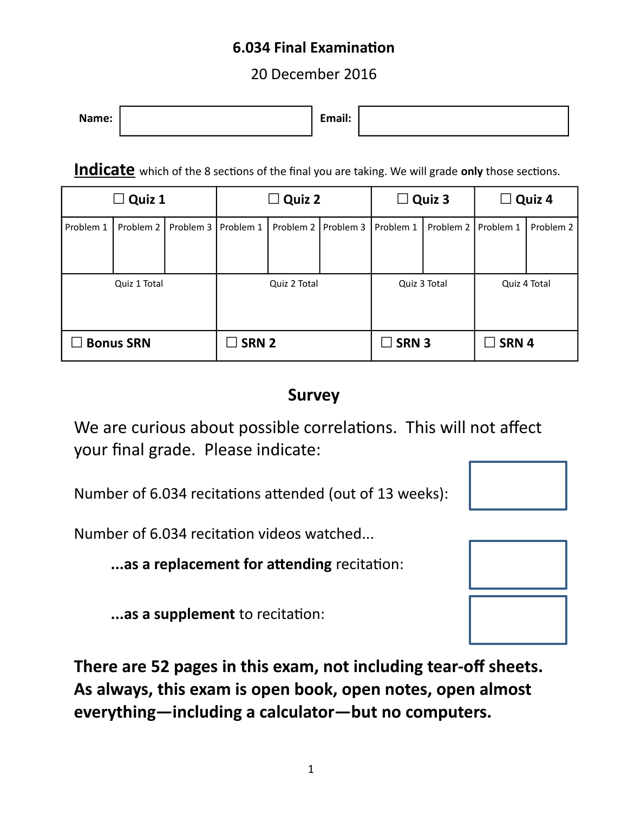#### **6.034 Final Examination**

20 December 2016

| $\bullet$<br>Name:<br>$-1$<br>LIIIali. |
|----------------------------------------|
|----------------------------------------|

**Indicate** which of the 8 sections of the final you are taking. We will grade **only** those sections.

| $\Box$ Quiz 1    |           |                  | $\Box$ Quiz 2<br>Quiz 3<br>$\Box$ |              | Quiz 4<br>$\Box$ |                 |           |           |           |
|------------------|-----------|------------------|-----------------------------------|--------------|------------------|-----------------|-----------|-----------|-----------|
| Problem 1        | Problem 2 | Problem 3        | Problem 1                         | Problem 2    | Problem 3        | Problem 1       | Problem 2 | Problem 1 | Problem 2 |
|                  |           |                  |                                   |              |                  |                 |           |           |           |
| Quiz 1 Total     |           | Quiz 2 Total     |                                   | Quiz 3 Total |                  | Quiz 4 Total    |           |           |           |
|                  |           |                  |                                   |              |                  |                 |           |           |           |
| <b>Bonus SRN</b> |           | SRN <sub>2</sub> |                                   | $\Box$ SRN 3 |                  | $\square$ SRN 4 |           |           |           |

### **Survey**

We are curious about possible correlations. This will not affect your final grade. Please indicate:

Number of 6.034 recitations attended (out of 13 weeks):

Number of 6.034 recitation videos watched...

**...as a replacement for attending** recitation:

**...as a supplement** to recitation:

**There are 52 pages in this exam, not including tear-off sheets. As always, this exam is open book, open notes, open almost everything—including a calculator—but no computers.** 

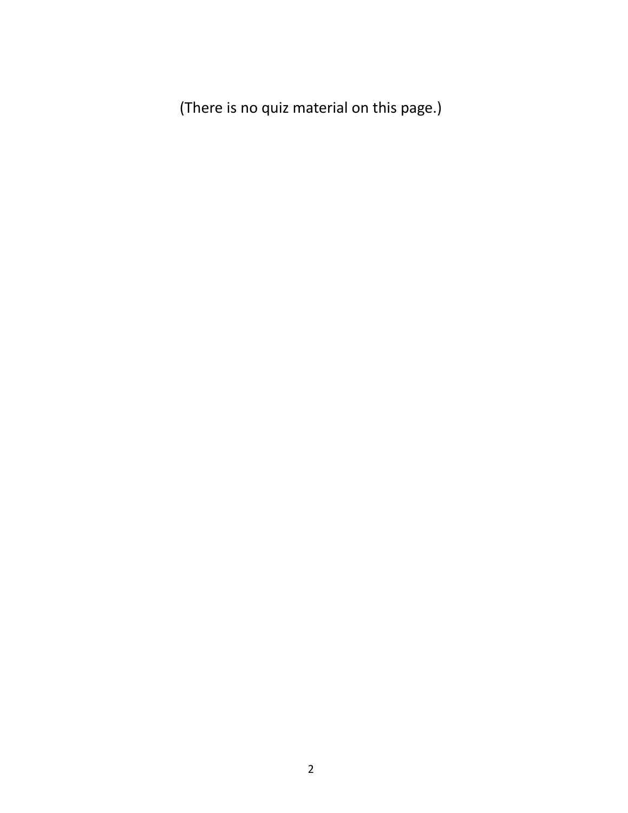(There is no quiz material on this page.)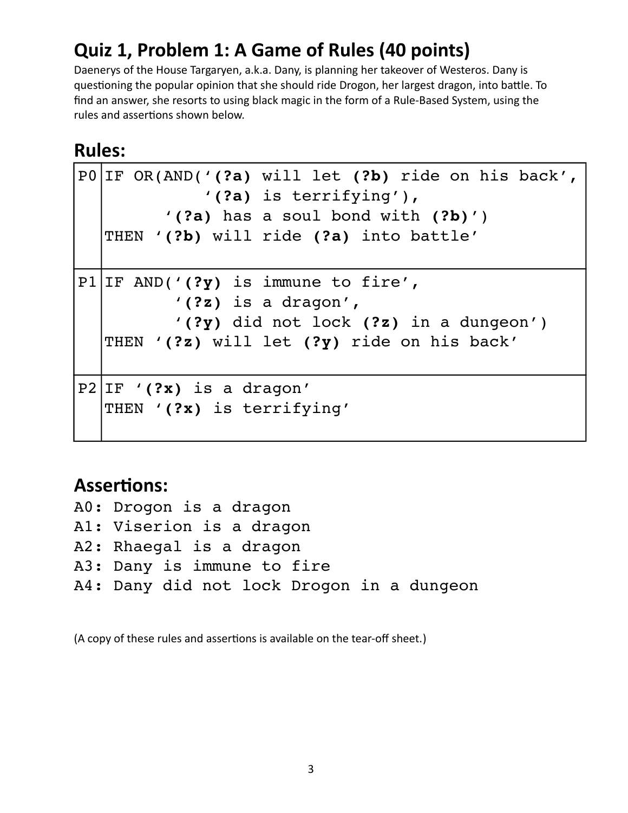## **Quiz 1, Problem 1: A Game of Rules (40 points)**

Daenerys of the House Targaryen, a.k.a. Dany, is planning her takeover of Westeros. Dany is questioning the popular opinion that she should ride Drogon, her largest dragon, into battle. To find an answer, she resorts to using black magic in the form of a Rule-Based System, using the rules and assertions shown below.

### **Rules:**

```
P0 IF OR(AND('(?a) will let (?b) ride on his back',
                       '(?a) is terrifying'),
                '(?a) has a soul bond with (?b)')
   THEN '(?b) will ride (?a) into battle'
P1 IF AND('(?y) is immune to fire',
                  '(?z) is a dragon',
                  '(?y) did not lock (?z) in a dungeon')
   THEN '(?z) will let (?y) ride on his back'
P2 IF '(?x) is a dragon'
   THEN '(?x) is terrifying'
```
### **Assertions:**

A0: Drogon is a dragon A1: Viserion is a dragon A2: Rhaegal is a dragon A3: Dany is immune to fire A4: Dany did not lock Drogon in a dungeon

(A copy of these rules and assertions is available on the tear-off sheet.)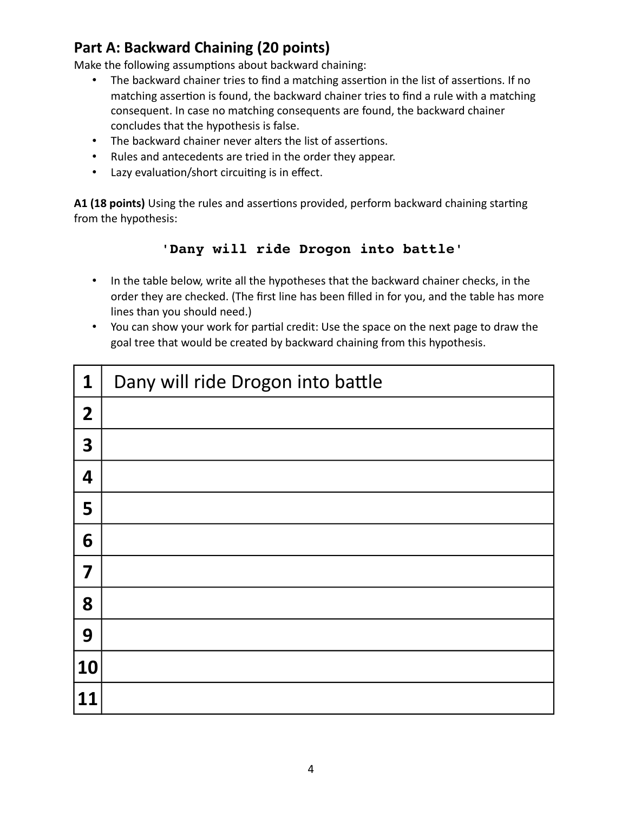#### **Part A: Backward Chaining (20 points)**

Make the following assumptions about backward chaining:

- The backward chainer tries to find a matching assertion in the list of assertions. If no matching assertion is found, the backward chainer tries to find a rule with a matching consequent. In case no matching consequents are found, the backward chainer concludes that the hypothesis is false.
- The backward chainer never alters the list of assertions.
- Rules and antecedents are tried in the order they appear.
- Lazy evaluation/short circuiting is in effect.

**A1 (18 points)** Using the rules and assertions provided, perform backward chaining starting from the hypothesis:

#### **'Dany will ride Drogon into battle'**

- In the table below, write all the hypotheses that the backward chainer checks, in the order they are checked. (The first line has been filled in for you, and the table has more lines than you should need.)
- You can show your work for partial credit: Use the space on the next page to draw the goal tree that would be created by backward chaining from this hypothesis.

| 1              | Dany will ride Drogon into battle |
|----------------|-----------------------------------|
| $\overline{2}$ |                                   |
| 3              |                                   |
| 4              |                                   |
| 5              |                                   |
| 6              |                                   |
| 7              |                                   |
| 8              |                                   |
| 9              |                                   |
| 10             |                                   |
| 11             |                                   |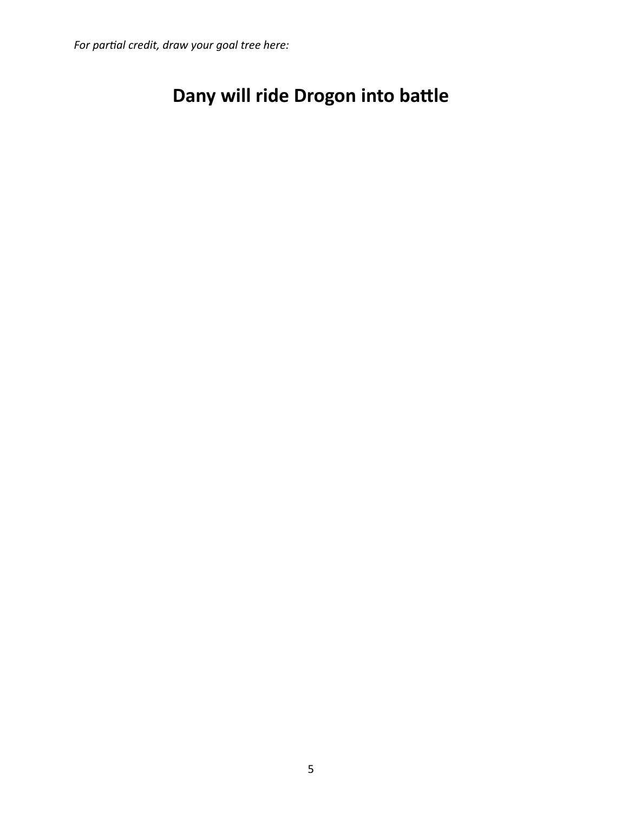*For partial credit, draw your goal tree here:*

## **Dany will ride Drogon into battle**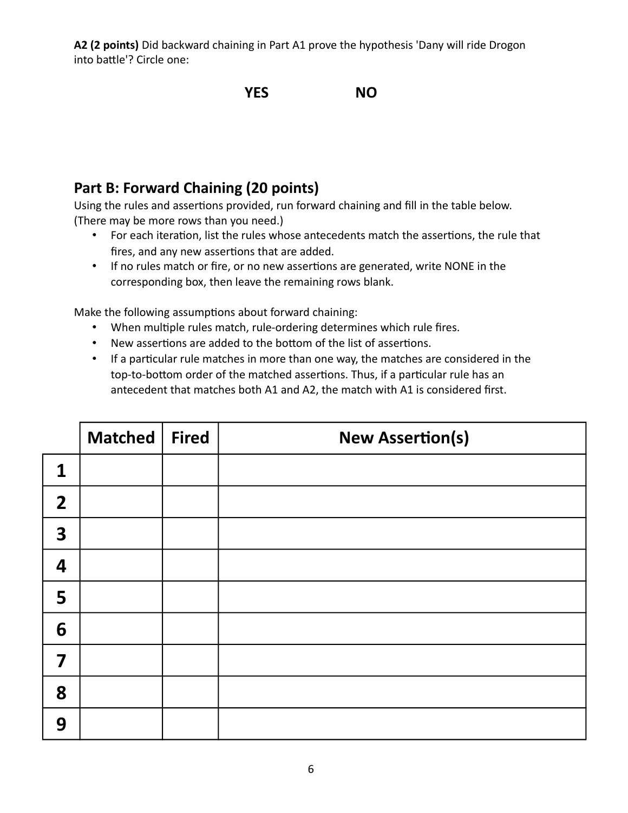**A2 (2 points)** Did backward chaining in Part A1 prove the hypothesis 'Dany will ride Drogon into battle'? Circle one:

#### **YES NO**

#### **Part B: Forward Chaining (20 points)**

Using the rules and assertions provided, run forward chaining and fill in the table below. (There may be more rows than you need.)

- For each iteration, list the rules whose antecedents match the assertions, the rule that fires, and any new assertions that are added.
- If no rules match or fire, or no new assertions are generated, write NONE in the corresponding box, then leave the remaining rows blank.

Make the following assumptions about forward chaining:

- When multiple rules match, rule-ordering determines which rule fires.
- New assertions are added to the bottom of the list of assertions.
- If a particular rule matches in more than one way, the matches are considered in the top-to-bottom order of the matched assertions. Thus, if a particular rule has an antecedent that matches both A1 and A2, the match with A1 is considered first.

|                         | <b>Matched</b> | Fired | <b>New Assertion(s)</b> |
|-------------------------|----------------|-------|-------------------------|
| $\mathbf 1$             |                |       |                         |
| $\overline{2}$          |                |       |                         |
| $\overline{\mathbf{3}}$ |                |       |                         |
| 4                       |                |       |                         |
| 5                       |                |       |                         |
| 6                       |                |       |                         |
| $\overline{\mathbf{7}}$ |                |       |                         |
| 8                       |                |       |                         |
| 9                       |                |       |                         |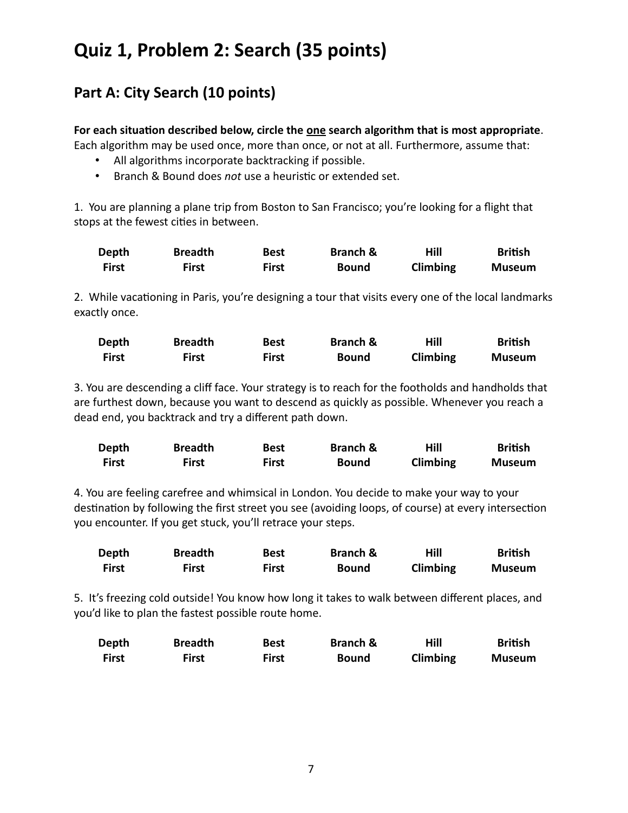### **Quiz 1, Problem 2: Search (35 points)**

### **Part A: City Search (10 points)**

#### **For each situation described below, circle the one search algorithm that is most appropriate**.

Each algorithm may be used once, more than once, or not at all. Furthermore, assume that:

- All algorithms incorporate backtracking if possible.
- Branch & Bound does *not* use a heuristic or extended set.

1. You are planning a plane trip from Boston to San Francisco; you're looking for a flight that stops at the fewest cities in between.

| Depth | <b>Breadth</b> | <b>Best</b> | <b>Branch &amp;</b> | Hill     | <b>British</b> |
|-------|----------------|-------------|---------------------|----------|----------------|
| First | First          | First       | <b>Bound</b>        | Climbing | Museum         |

2. While vacationing in Paris, you're designing a tour that visits every one of the local landmarks exactly once.

| Depth | <b>Breadth</b> | <b>Best</b> | <b>Branch &amp;</b> | Hill     | <b>British</b> |
|-------|----------------|-------------|---------------------|----------|----------------|
| First | First          | First       | Bound               | Climbing | <b>Museum</b>  |

3. You are descending a cliff face. Your strategy is to reach for the footholds and handholds that are furthest down, because you want to descend as quickly as possible. Whenever you reach a dead end, you backtrack and try a different path down.

| Depth        | <b>Breadth</b> | <b>Best</b> | <b>Branch &amp;</b> | Hill     | <b>British</b> |
|--------------|----------------|-------------|---------------------|----------|----------------|
| <b>First</b> | First          | First       | <b>Bound</b>        | Climbing | <b>Museum</b>  |

4. You are feeling carefree and whimsical in London. You decide to make your way to your destination by following the first street you see (avoiding loops, of course) at every intersection you encounter. If you get stuck, you'll retrace your steps.

| Depth        | <b>Breadth</b> | Best         | <b>Branch &amp;</b> | Hill     | <b>British</b> |
|--------------|----------------|--------------|---------------------|----------|----------------|
| <b>First</b> | First          | <b>First</b> | Bound               | Climbing | <b>Museum</b>  |

5. It's freezing cold outside! You know how long it takes to walk between different places, and you'd like to plan the fastest possible route home.

| Depth | <b>Breadth</b> | <b>Best</b> | <b>Branch &amp;</b> | Hill     | <b>British</b> |
|-------|----------------|-------------|---------------------|----------|----------------|
| First | First          | First       | <b>Bound</b>        | Climbing | <b>Museum</b>  |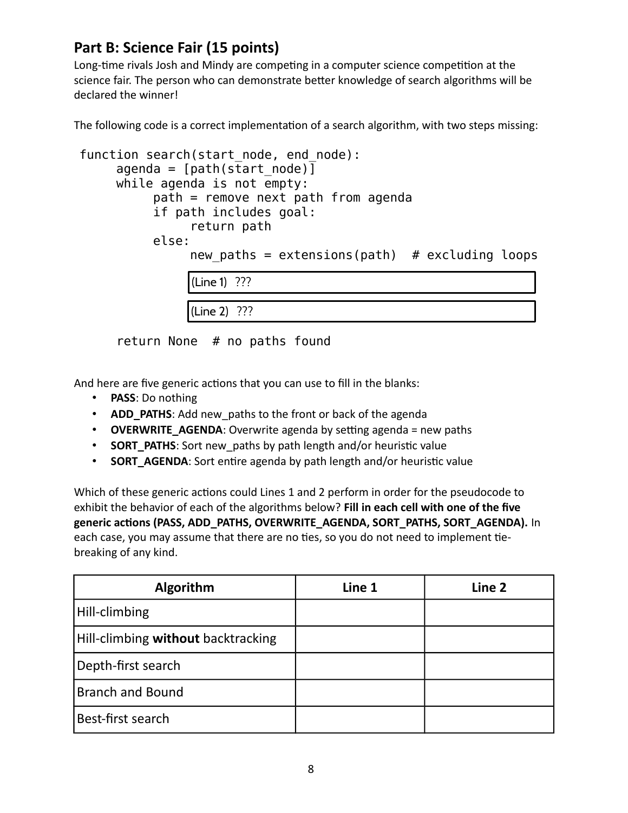#### **Part B: Science Fair (15 points)**

Long-time rivals Josh and Mindy are competing in a computer science competition at the science fair. The person who can demonstrate better knowledge of search algorithms will be declared the winner!

The following code is a correct implementation of a search algorithm, with two steps missing:

```
function search(start node, end node):
     agenda = [path(startnode)]while agenda is not empty: 
          path = remove next path from agenda
          if path includes goal:
               return path
          else:
               new paths = extensions(path) # excluding loops
               (Line 1) ???
               (Line 2) ???
```
return None # no paths found

And here are five generic actions that you can use to fill in the blanks:

- **PASS**: Do nothing
- **ADD\_PATHS**: Add new\_paths to the front or back of the agenda
- **OVERWRITE\_AGENDA**: Overwrite agenda by setting agenda = new paths
- **SORT\_PATHS:** Sort new paths by path length and/or heuristic value
- **SORT AGENDA**: Sort entire agenda by path length and/or heuristic value

Which of these generic actions could Lines 1 and 2 perform in order for the pseudocode to exhibit the behavior of each of the algorithms below? **Fill in each cell with one of the five generic actions (PASS, ADD\_PATHS, OVERWRITE\_AGENDA, SORT\_PATHS, SORT\_AGENDA).** In each case, you may assume that there are no ties, so you do not need to implement tiebreaking of any kind.

| Algorithm                          | Line 1 | Line 2 |
|------------------------------------|--------|--------|
| Hill-climbing                      |        |        |
| Hill-climbing without backtracking |        |        |
| Depth-first search                 |        |        |
| <b>Branch and Bound</b>            |        |        |
| Best-first search                  |        |        |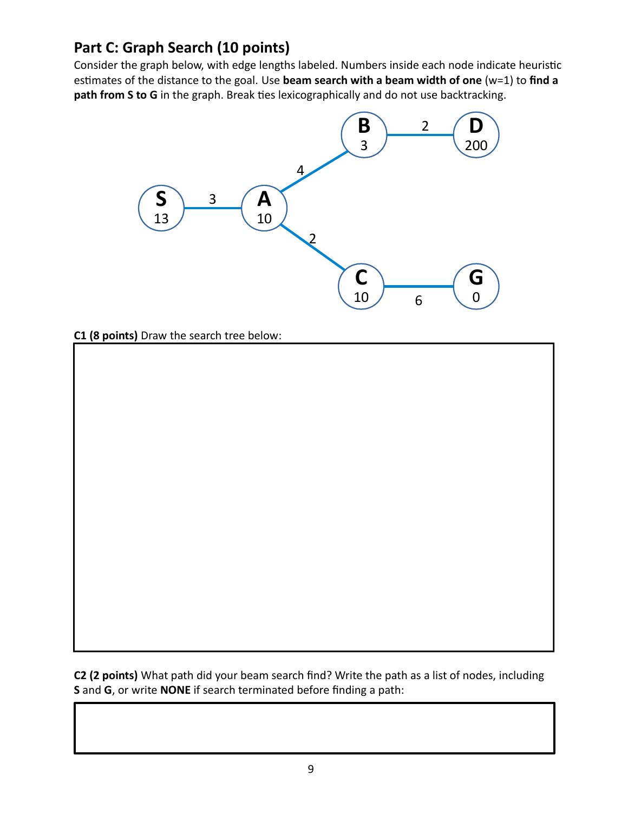### **Part C: Graph Search (10 points)**

Consider the graph below, with edge lengths labeled. Numbers inside each node indicate heuristic estimates of the distance to the goal. Use **beam search with a beam width of one** (w=1) to **find a path from S to G** in the graph. Break ties lexicographically and do not use backtracking.



**C1 (8 points)** Draw the search tree below:

**C2 (2 points)** What path did your beam search find? Write the path as a list of nodes, including **S** and **G**, or write **NONE** if search terminated before finding a path: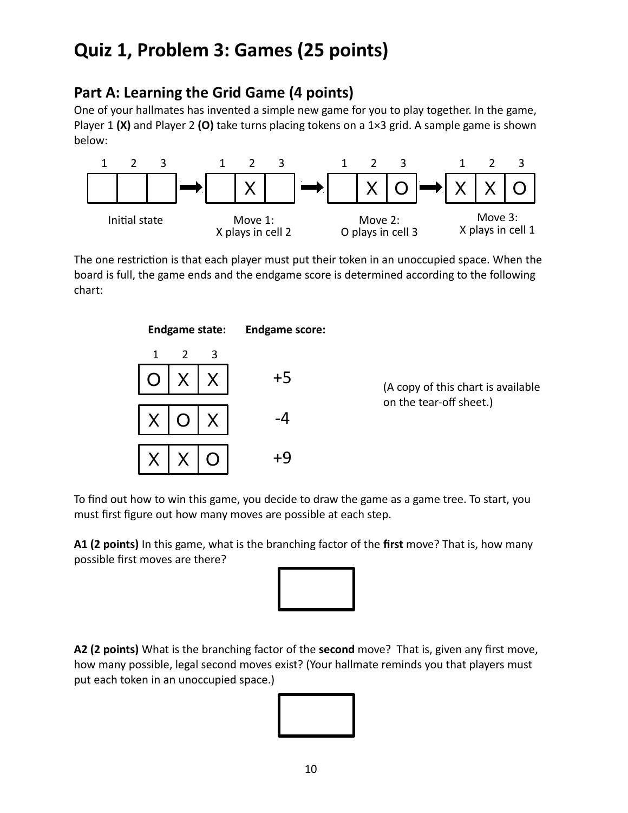### **Quiz 1, Problem 3: Games (25 points)**

#### **Part A: Learning the Grid Game (4 points)**

One of your hallmates has invented a simple new game for you to play together. In the game, Player 1 **(X)** and Player 2 **(O)** take turns placing tokens on a 1×3 grid. A sample game is shown below:



The one restriction is that each player must put their token in an unoccupied space. When the board is full, the game ends and the endgame score is determined according to the following chart:



To find out how to win this game, you decide to draw the game as a game tree. To start, you must first figure out how many moves are possible at each step.

**A1 (2 points)** In this game, what is the branching factor of the **first** move? That is, how many possible first moves are there?



**A2 (2 points)** What is the branching factor of the **second** move? That is, given any first move, how many possible, legal second moves exist? (Your hallmate reminds you that players must put each token in an unoccupied space.)

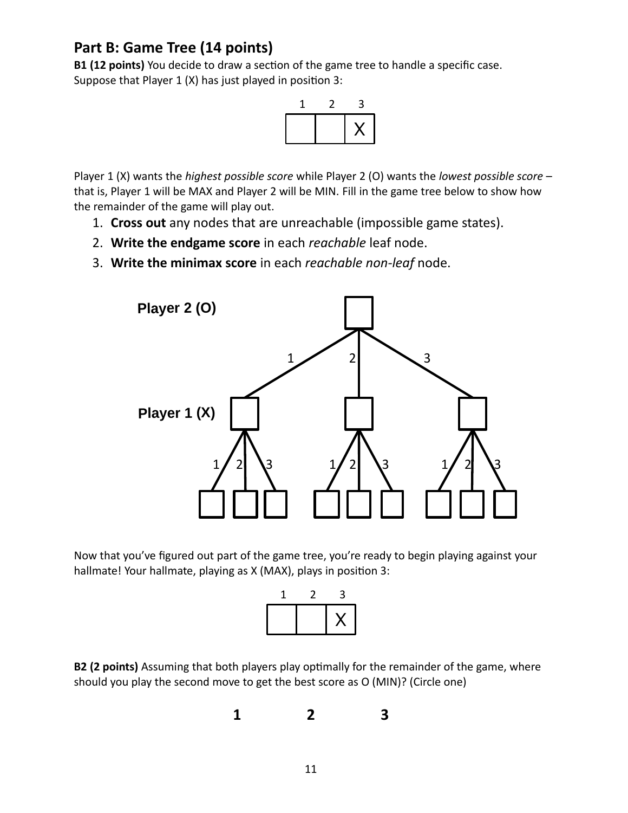#### **Part B: Game Tree (14 points)**

**B1 (12 points)** You decide to draw a section of the game tree to handle a specific case. Suppose that Player 1 (X) has just played in position 3:



Player 1 (X) wants the *highest possible score* while Player 2 (O) wants the *lowest possible score* – that is, Player 1 will be MAX and Player 2 will be MIN. Fill in the game tree below to show how the remainder of the game will play out.

- 1. **Cross out** any nodes that are unreachable (impossible game states).
- 2. **Write the endgame score** in each *reachable* leaf node.
- 3. **Write the minimax score** in each *reachable non-leaf* node.



Now that you've figured out part of the game tree, you're ready to begin playing against your hallmate! Your hallmate, playing as X (MAX), plays in position 3:



**B2 (2 points)** Assuming that both players play optimally for the remainder of the game, where should you play the second move to get the best score as O (MIN)? (Circle one)

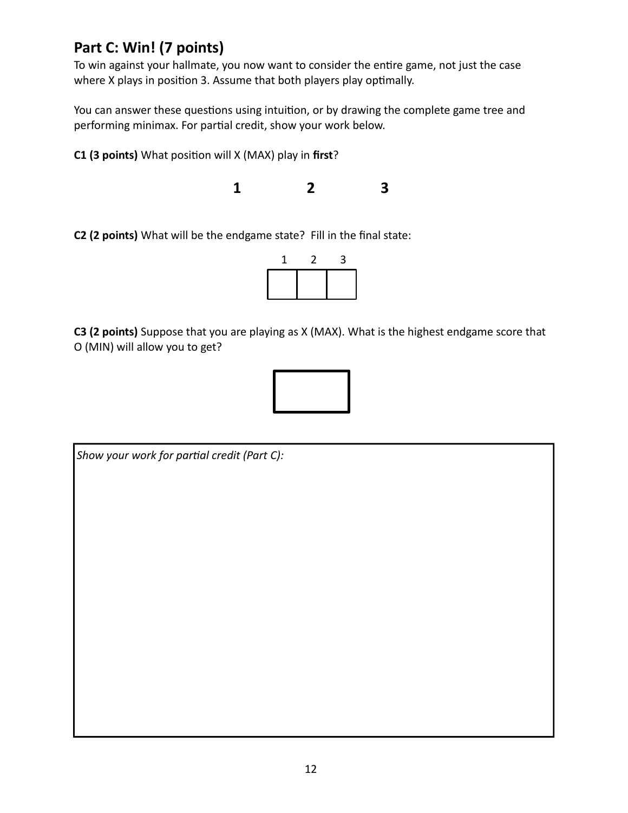#### **Part C: Win! (7 points)**

To win against your hallmate, you now want to consider the entire game, not just the case where X plays in position 3. Assume that both players play optimally.

You can answer these questions using intuition, or by drawing the complete game tree and performing minimax. For partial credit, show your work below.

**C1 (3 points)** What position will X (MAX) play in **first**?

**1 2 3**

**C2 (2 points)** What will be the endgame state? Fill in the final state:



**C3 (2 points)** Suppose that you are playing as X (MAX). What is the highest endgame score that O (MIN) will allow you to get?



*Show your work for partial credit (Part C):*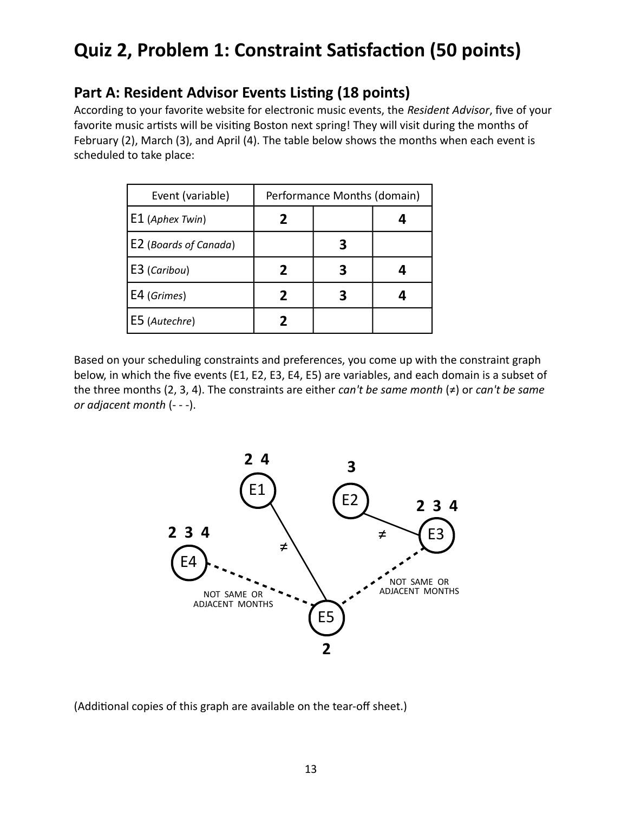### **Quiz 2, Problem 1: Constraint Satisfaction (50 points)**

#### **Part A: Resident Advisor Events Listing (18 points)**

According to your favorite website for electronic music events, the *Resident Advisor*, five of your favorite music artists will be visiting Boston next spring! They will visit during the months of February (2), March (3), and April (4). The table below shows the months when each event is scheduled to take place:

| Event (variable)      |   | Performance Months (domain) |  |
|-----------------------|---|-----------------------------|--|
| $E1$ (Aphex Twin)     |   |                             |  |
| E2 (Boards of Canada) |   |                             |  |
| E3 (Caribou)          | 2 |                             |  |
| $E4$ (Grimes)         |   |                             |  |
| E5 (Autechre)         |   |                             |  |

Based on your scheduling constraints and preferences, you come up with the constraint graph below, in which the five events (E1, E2, E3, E4, E5) are variables, and each domain is a subset of the three months (2, 3, 4). The constraints are either *can't be same month* (≠) or *can't be same or adjacent month* (- - -).



(Additional copies of this graph are available on the tear-off sheet.)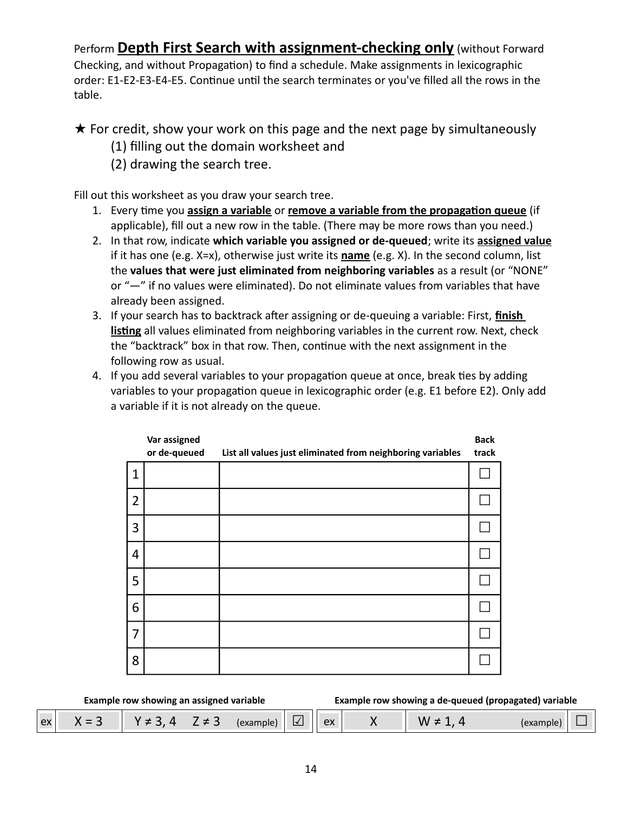Perform **Depth First Search with assignment-checking only** (without Forward Checking, and without Propagation) to find a schedule. Make assignments in lexicographic order: E1-E2-E3-E4-E5. Continue until the search terminates or you've filled all the rows in the table.

★ For credit, show your work on this page and the next page by simultaneously

- (1) filling out the domain worksheet and
- (2) drawing the search tree.

Fill out this worksheet as you draw your search tree.

- 1. Every time you **assign a variable** or **remove a variable from the propagation queue** (if applicable), fill out a new row in the table. (There may be more rows than you need.)
- 2. In that row, indicate **which variable you assigned or de-queued**; write its **assigned value** if it has one (e.g. X=x), otherwise just write its **name** (e.g. X). In the second column, list the **values that were just eliminated from neighboring variables** as a result (or "NONE" or "—" if no values were eliminated). Do not eliminate values from variables that have already been assigned.
- 3. If your search has to backtrack after assigning or de-queuing a variable: First, **finish listing** all values eliminated from neighboring variables in the current row. Next, check the "backtrack" box in that row. Then, continue with the next assignment in the following row as usual.
- 4. If you add several variables to your propagation queue at once, break ties by adding variables to your propagation queue in lexicographic order (e.g. E1 before E2). Only add a variable if it is not already on the queue.

|                | Var assigned<br>or de-queued | List all values just eliminated from neighboring variables | <b>Back</b><br>track |
|----------------|------------------------------|------------------------------------------------------------|----------------------|
| $\mathbf{1}$   |                              |                                                            |                      |
| $\overline{2}$ |                              |                                                            |                      |
| 3              |                              |                                                            |                      |
| 4              |                              |                                                            |                      |
| 5              |                              |                                                            |                      |
| 6              |                              |                                                            |                      |
| 7              |                              |                                                            |                      |
| 8              |                              |                                                            |                      |

**Example row showing an assigned variable Example row showing a de-queued (propagated) variable**

| ex | $\overline{\phantom{0}}$<br>$\sim$ |  |  |  | $\mathsf{I}$ | $\mathsf{P}$ |  | $\mathbf{v}$ |  |
|----|------------------------------------|--|--|--|--------------|--------------|--|--------------|--|
|----|------------------------------------|--|--|--|--------------|--------------|--|--------------|--|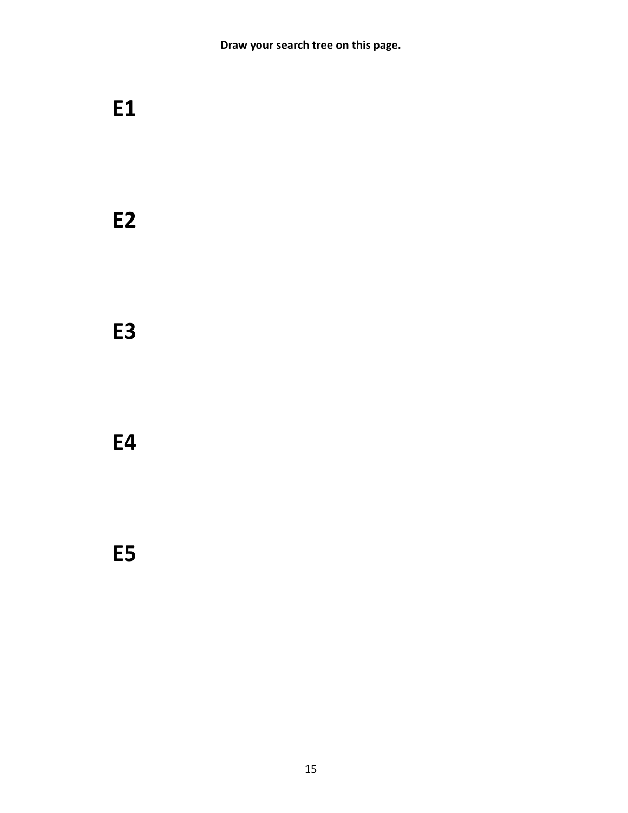**Draw your search tree on this page.**

## **E1**

**E2**

**E3**

**E4**

**E5**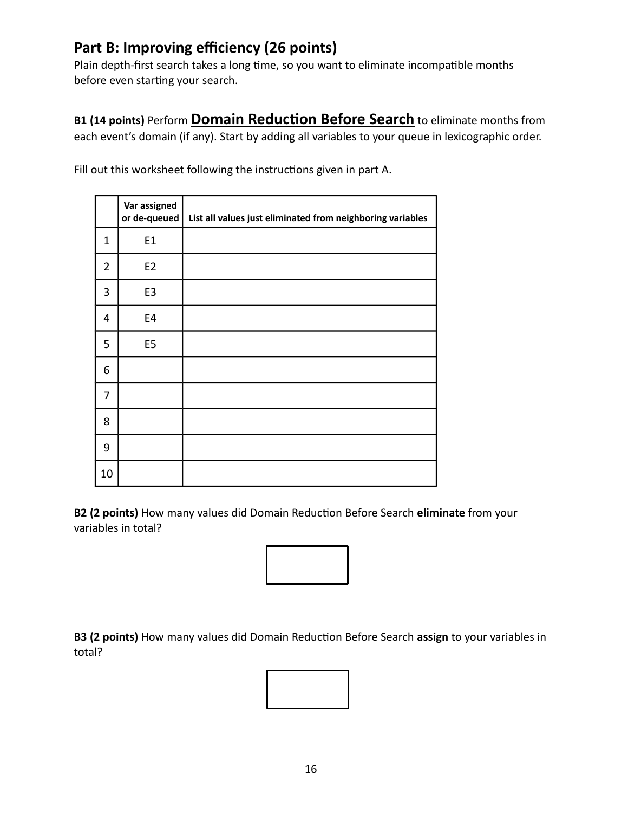#### **Part B: Improving efficiency (26 points)**

Plain depth-first search takes a long time, so you want to eliminate incompatible months before even starting your search.

**B1 (14 points)** Perform **Domain Reduction Before Search** to eliminate months from each event's domain (if any). Start by adding all variables to your queue in lexicographic order.

|                | Var assigned<br>or de-queued | List all values just eliminated from neighboring variables |
|----------------|------------------------------|------------------------------------------------------------|
| 1              | E <sub>1</sub>               |                                                            |
| $\overline{2}$ | E <sub>2</sub>               |                                                            |
| 3              | E <sub>3</sub>               |                                                            |
| 4              | E4                           |                                                            |
| 5              | E <sub>5</sub>               |                                                            |
| 6              |                              |                                                            |
| 7              |                              |                                                            |
| 8              |                              |                                                            |
| 9              |                              |                                                            |
| 10             |                              |                                                            |

Fill out this worksheet following the instructions given in part A.

**B2 (2 points)** How many values did Domain Reduction Before Search **eliminate** from your variables in total?



**B3 (2 points)** How many values did Domain Reduction Before Search **assign** to your variables in total?

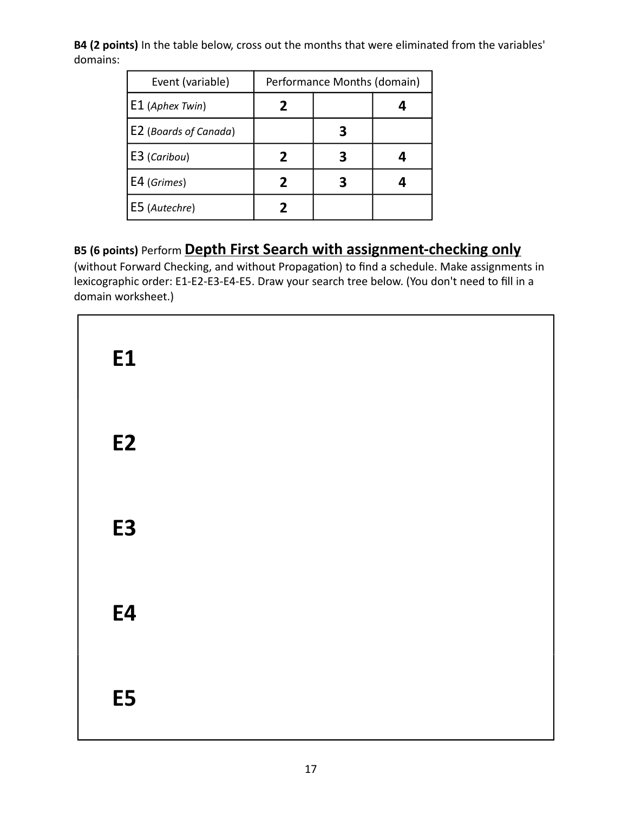**B4 (2 points)** In the table below, cross out the months that were eliminated from the variables' domains:

| Event (variable)      | Performance Months (domain) |  |  |  |  |
|-----------------------|-----------------------------|--|--|--|--|
| $ E1$ (Aphex Twin)    |                             |  |  |  |  |
| E2 (Boards of Canada) |                             |  |  |  |  |
| E3 (Caribou)          |                             |  |  |  |  |
| E4 (Grimes)           | 7                           |  |  |  |  |
| E5 (Autechre)         |                             |  |  |  |  |

#### **B5 (6 points)** Perform **Depth First Search with assignment-checking only**

(without Forward Checking, and without Propagation) to find a schedule. Make assignments in lexicographic order: E1-E2-E3-E4-E5. Draw your search tree below. (You don't need to fill in a domain worksheet.)

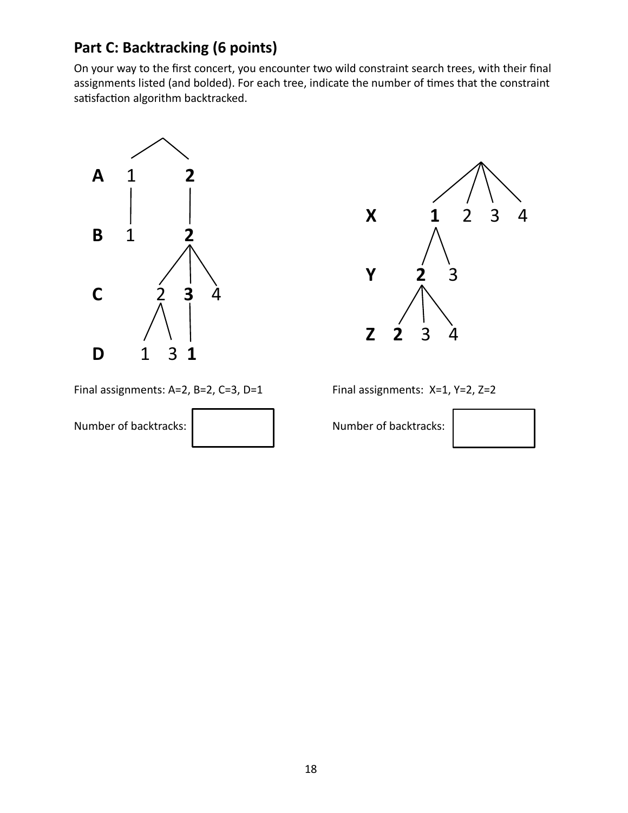### **Part C: Backtracking (6 points)**

On your way to the first concert, you encounter two wild constraint search trees, with their final assignments listed (and bolded). For each tree, indicate the number of times that the constraint satisfaction algorithm backtracked.





Final assignments:  $A=2$ ,  $B=2$ ,  $C=3$ ,  $D=1$  Final assignments:  $X=1$ ,  $Y=2$ ,  $Z=2$ 

Number of backtracks: Number of backtracks:

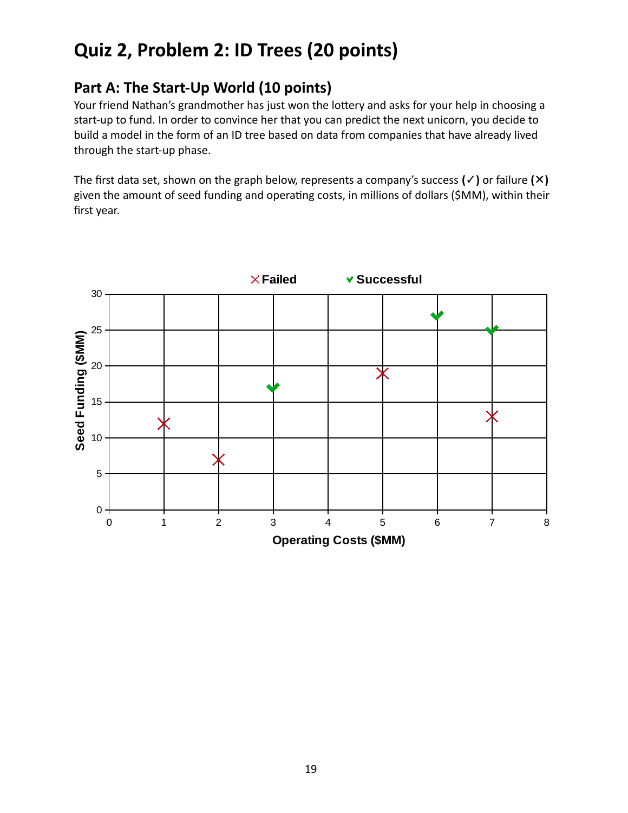### **Quiz 2, Problem 2: ID Trees (20 points)**

### **Part A: The Start-Up World (10 points)**

Your friend Nathan's grandmother has just won the lottery and asks for your help in choosing a start-up to fund. In order to convince her that you can predict the next unicorn, you decide to build a model in the form of an ID tree based on data from companies that have already lived through the start-up phase.

The first data set, shown on the graph below, represents a company's success **(✓)** or failure **(✕)** given the amount of seed funding and operating costs, in millions of dollars (\$MM), within their first year.

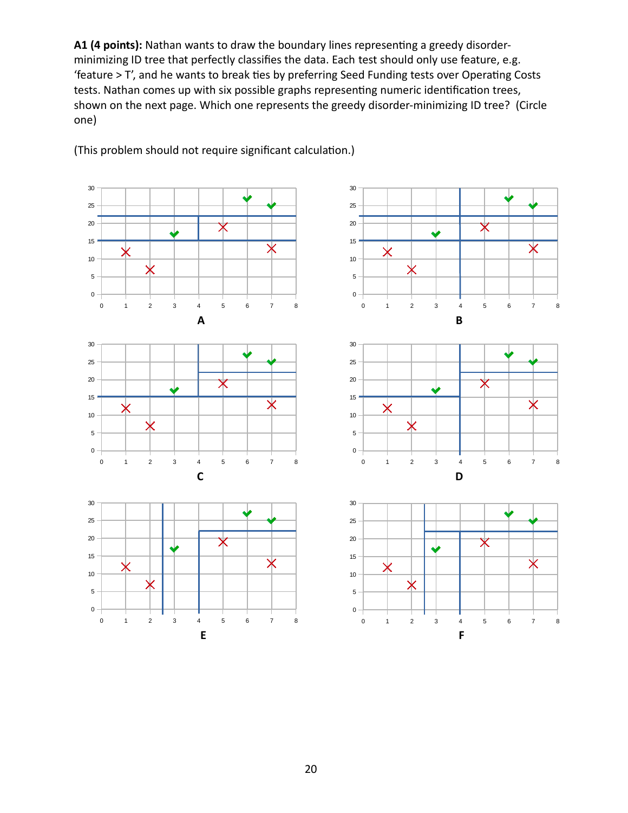**A1 (4 points):** Nathan wants to draw the boundary lines representing a greedy disorderminimizing ID tree that perfectly classifies the data. Each test should only use feature, e.g. 'feature > T', and he wants to break ties by preferring Seed Funding tests over Operating Costs tests. Nathan comes up with six possible graphs representing numeric identification trees, shown on the next page. Which one represents the greedy disorder-minimizing ID tree? (Circle one)



1 2 3 4 5 6 7 8

(This problem should not require significant calculation.)

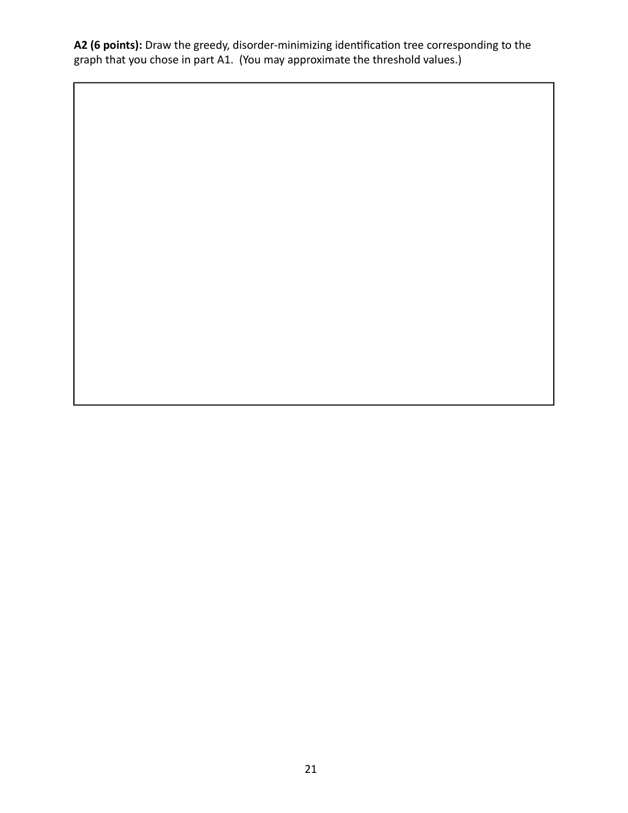**A2 (6 points):** Draw the greedy, disorder-minimizing identification tree corresponding to the graph that you chose in part A1. (You may approximate the threshold values.)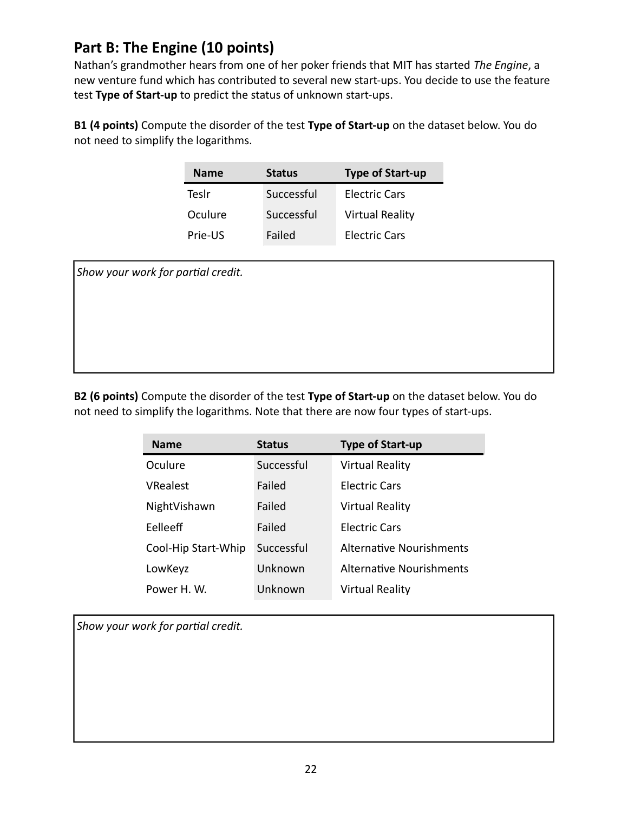#### **Part B: The Engine (10 points)**

Nathan's grandmother hears from one of her poker friends that MIT has started *The Engine*, a new venture fund which has contributed to several new start-ups. You decide to use the feature test **Type of Start-up** to predict the status of unknown start-ups.

**B1 (4 points)** Compute the disorder of the test **Type of Start-up** on the dataset below. You do not need to simplify the logarithms.

| <b>Name</b> | <b>Status</b> | <b>Type of Start-up</b> |
|-------------|---------------|-------------------------|
| Teslr       | Successful    | <b>Electric Cars</b>    |
| Oculure     | Successful    | <b>Virtual Reality</b>  |
| Prie-US     | Failed        | <b>Electric Cars</b>    |

*Show your work for partial credit.*

**B2 (6 points)** Compute the disorder of the test **Type of Start-up** on the dataset below. You do not need to simplify the logarithms. Note that there are now four types of start-ups.

| <b>Name</b>         | <b>Status</b> | <b>Type of Start-up</b>         |
|---------------------|---------------|---------------------------------|
| Oculure             | Successful    | <b>Virtual Reality</b>          |
| <b>VRealest</b>     | Failed        | <b>Electric Cars</b>            |
| NightVishawn        | Failed        | <b>Virtual Reality</b>          |
| Felleeff            | Failed        | <b>Electric Cars</b>            |
| Cool-Hip Start-Whip | Successful    | <b>Alternative Nourishments</b> |
| LowKeyz             | Unknown       | <b>Alternative Nourishments</b> |
| Power H.W.          | Unknown       | <b>Virtual Reality</b>          |

*Show your work for partial credit.*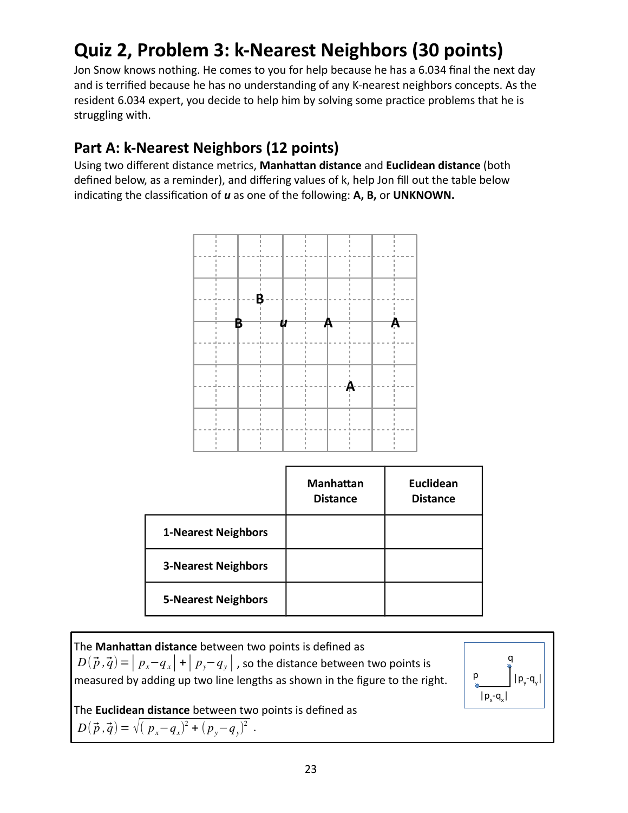## **Quiz 2, Problem 3: k-Nearest Neighbors (30 points)**

Jon Snow knows nothing. He comes to you for help because he has a 6.034 final the next day and is terrified because he has no understanding of any K-nearest neighbors concepts. As the resident 6.034 expert, you decide to help him by solving some practice problems that he is struggling with.

### **Part A: k-Nearest Neighbors (12 points)**

Using two different distance metrics, **Manhattan distance** and **Euclidean distance** (both defined below, as a reminder), and differing values of k, help Jon fill out the table below indicating the classification of *u* as one of the following: **A, B,** or **UNKNOWN.**



|                            | <b>Manhattan</b><br><b>Distance</b> | <b>Euclidean</b><br><b>Distance</b> |
|----------------------------|-------------------------------------|-------------------------------------|
| <b>1-Nearest Neighbors</b> |                                     |                                     |
| <b>3-Nearest Neighbors</b> |                                     |                                     |
| <b>5-Nearest Neighbors</b> |                                     |                                     |

The **Manhattan distance** between two points is defined as  $D(\vec{p}, \vec{q}) = | p_x - q_x | + | p_y - q_y |$ , so the distance between two points is measured by adding up two line lengths as shown in the figure to the right. The **Euclidean distance** between two points is defined as  $D(\vec{p}, \vec{q}) = \sqrt{(p_x - q_x)^2 + (p_y - q_y)^2}$ . p q  $|p_{x} - q_{x}|$ 

 $|p_y - q_y|$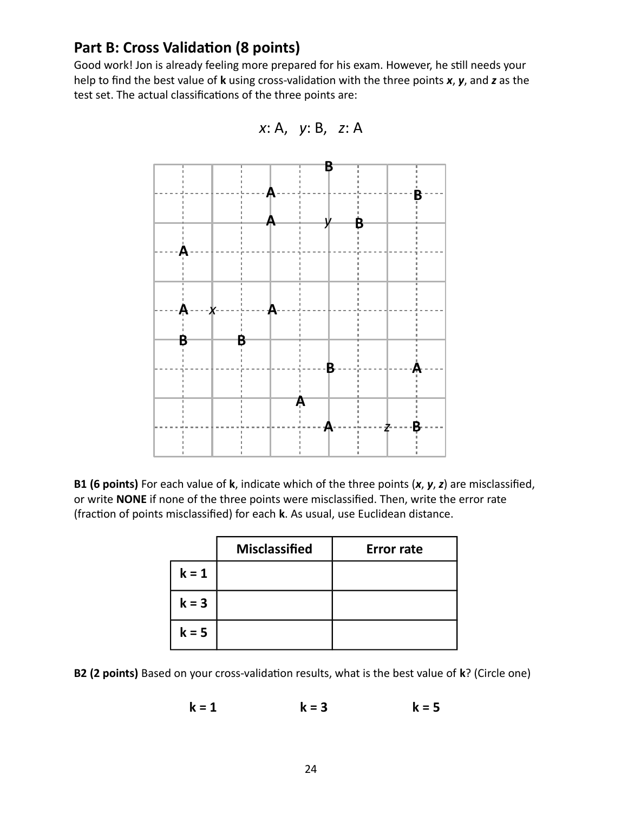#### **Part B: Cross Validation (8 points)**

Good work! Jon is already feeling more prepared for his exam. However, he still needs your help to find the best value of **k** using cross-validation with the three points *x*, *y*, and *z* as the test set. The actual classifications of the three points are:





**B1 (6 points)** For each value of **k**, indicate which of the three points (*x*, *y*, *z*) are misclassified, or write **NONE** if none of the three points were misclassified. Then, write the error rate (fraction of points misclassified) for each **k**. As usual, use Euclidean distance.

|         | <b>Misclassified</b> | <b>Error rate</b> |
|---------|----------------------|-------------------|
| $k = 1$ |                      |                   |
| $k = 3$ |                      |                   |
| $k = 5$ |                      |                   |

**B2 (2 points)** Based on your cross-validation results, what is the best value of **k**? (Circle one)

$$
k = 1 \qquad k = 3 \qquad k = 5
$$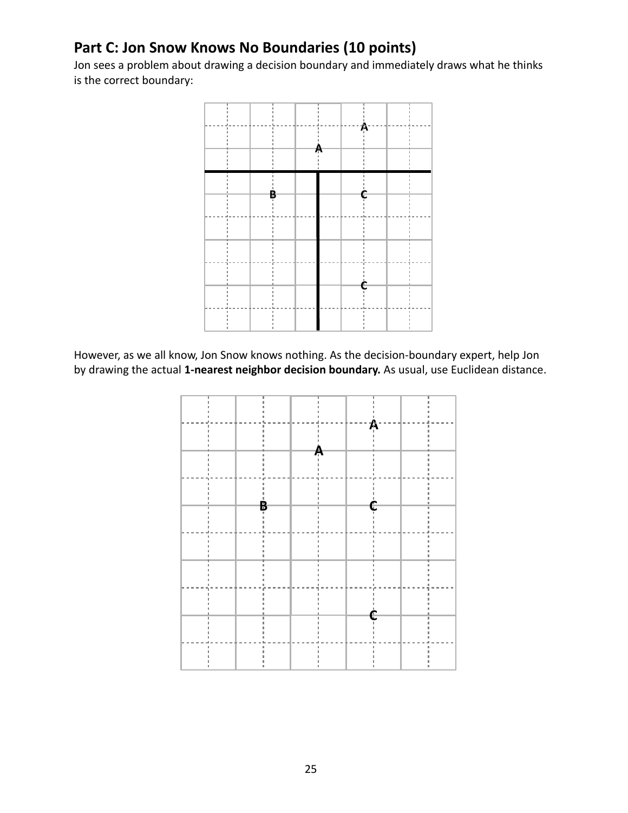#### **Part C: Jon Snow Knows No Boundaries (10 points)**

Jon sees a problem about drawing a decision boundary and immediately draws what he thinks is the correct boundary:



However, as we all know, Jon Snow knows nothing. As the decision-boundary expert, help Jon by drawing the actual **1-nearest neighbor decision boundary.** As usual, use Euclidean distance.

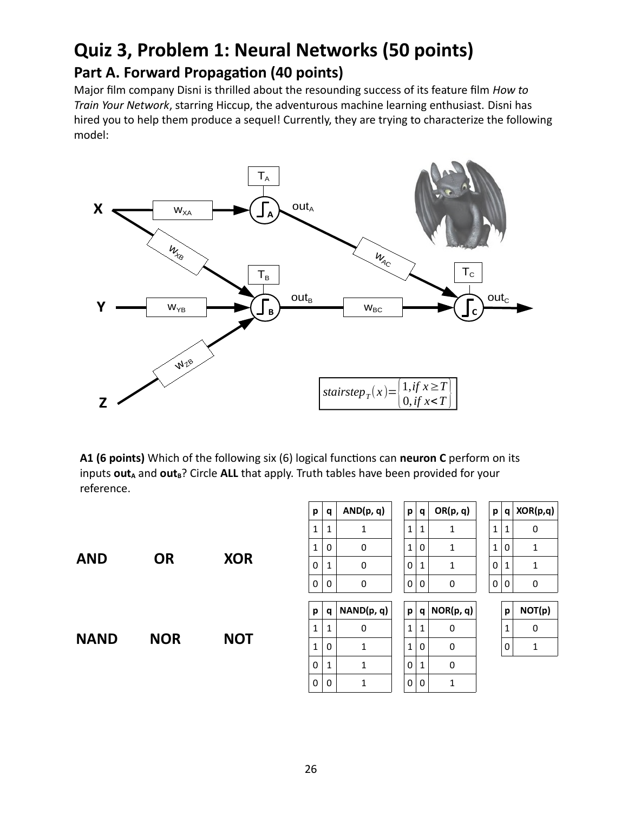### **Quiz 3, Problem 1: Neural Networks (50 points) Part A. Forward Propagation (40 points)**

Major film company Disni is thrilled about the resounding success of its feature film *How to Train Your Network*, starring Hiccup, the adventurous machine learning enthusiast. Disni has hired you to help them produce a sequel! Currently, they are trying to characterize the following model:



**A1 (6 points)** Which of the following six (6) logical functions can **neuron C** perform on its inputs **out**<sub>A</sub> and **out**<sub>B</sub>? Circle ALL that apply. Truth tables have been provided for your reference.

| <b>AND</b>  | <b>OR</b>  | <b>XOR</b> |
|-------------|------------|------------|
| <b>NAND</b> | <b>NOR</b> | <b>NOT</b> |

| р | q | AND(p, q) | р | a | OR(p, q) | р | q | XOR(p,q) |
|---|---|-----------|---|---|----------|---|---|----------|
| 1 | 1 |           | 1 | 1 |          |   | 1 |          |
| 1 | 0 |           |   | 0 |          |   | 0 |          |
| 0 | 1 |           |   | 1 |          | 0 | 1 |          |
| 0 | 0 |           |   | 0 |          |   | 0 |          |
|   |   |           |   |   |          |   |   |          |
|   |   |           |   |   |          |   |   |          |

| р | q | OR(p, q) |
|---|---|----------|
| 1 | 1 | 1        |
| 1 | 0 | 1        |
| 0 | 1 | 1        |
| U | 0 | 0        |

| р | a | NAND(p, q) | р | q | NOR(p, q) | р | <b>NOT</b> |
|---|---|------------|---|---|-----------|---|------------|
| 1 |   |            | 1 | 1 |           | 1 | 0          |
| 1 |   |            | 1 | 0 |           | 0 |            |
| 0 |   |            | 0 | 1 |           |   |            |
| 0 |   |            | 0 | ი |           |   |            |

| р | q | XOR(p,q) |
|---|---|----------|
| 1 | 1 | 0        |
| 1 | 0 | 1        |
| 0 | 1 | 1        |
| 0 | 0 | O        |

| p | NOT(p) |  |  |  |  |
|---|--------|--|--|--|--|
| 1 | 0      |  |  |  |  |
| 0 |        |  |  |  |  |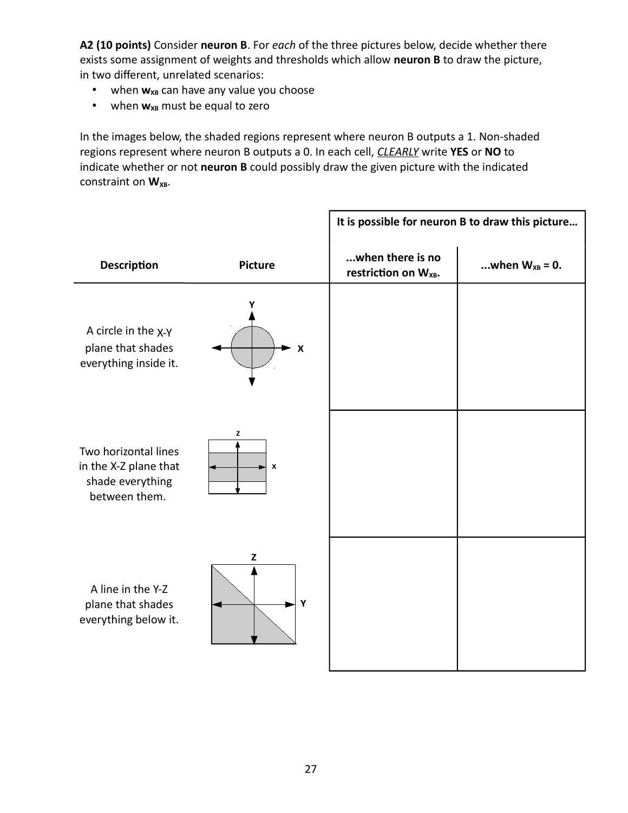**A2 (10 points)** Consider **neuron B**. For *each* of the three pictures below, decide whether there exists some assignment of weights and thresholds which allow **neuron B** to draw the picture, in two different, unrelated scenarios:

- when **w**<sub>xB</sub> can have any value you choose
- when  $w_{XB}$  must be equal to zero

In the images below, the shaded regions represent where neuron B outputs a 1. Non-shaded regions represent where neuron B outputs a 0. In each cell, *CLEARLY* write **YES** or **NO** to indicate whether or not **neuron B** could possibly draw the given picture with the indicated constraint on W<sub>XB</sub>.

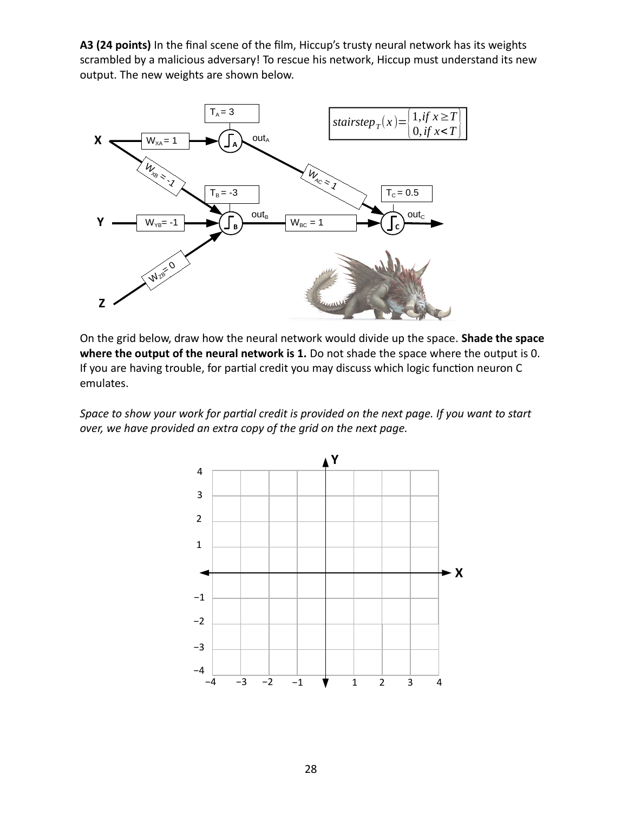**A3 (24 points)** In the final scene of the film, Hiccup's trusty neural network has its weights scrambled by a malicious adversary! To rescue his network, Hiccup must understand its new output. The new weights are shown below.



On the grid below, draw how the neural network would divide up the space. **Shade the space where the output of the neural network is 1.** Do not shade the space where the output is 0. If you are having trouble, for partial credit you may discuss which logic function neuron C emulates.

*Space to show your work for partial credit is provided on the next page. If you want to start over, we have provided an extra copy of the grid on the next page.*

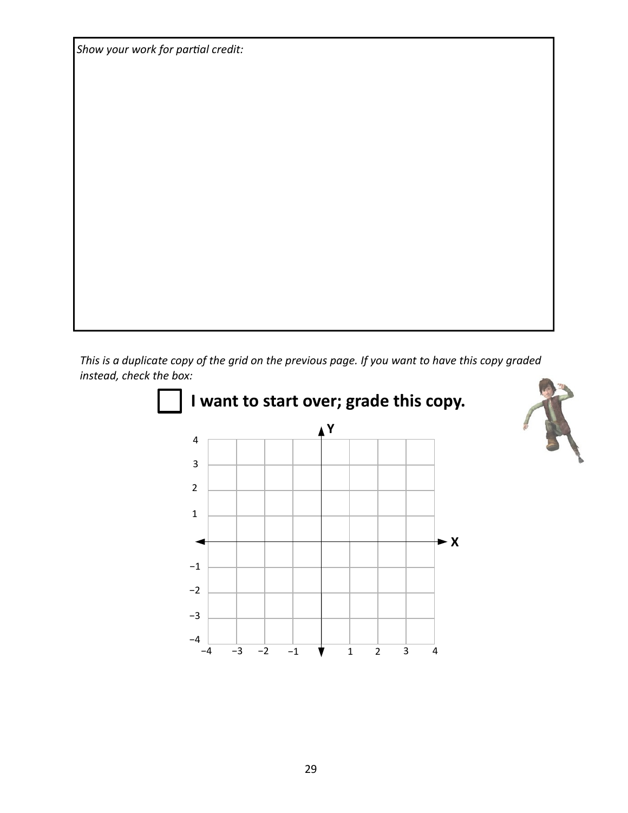*Show your work for partial credit:*

*This is a duplicate copy of the grid on the previous page. If you want to have this copy graded instead, check the box:*

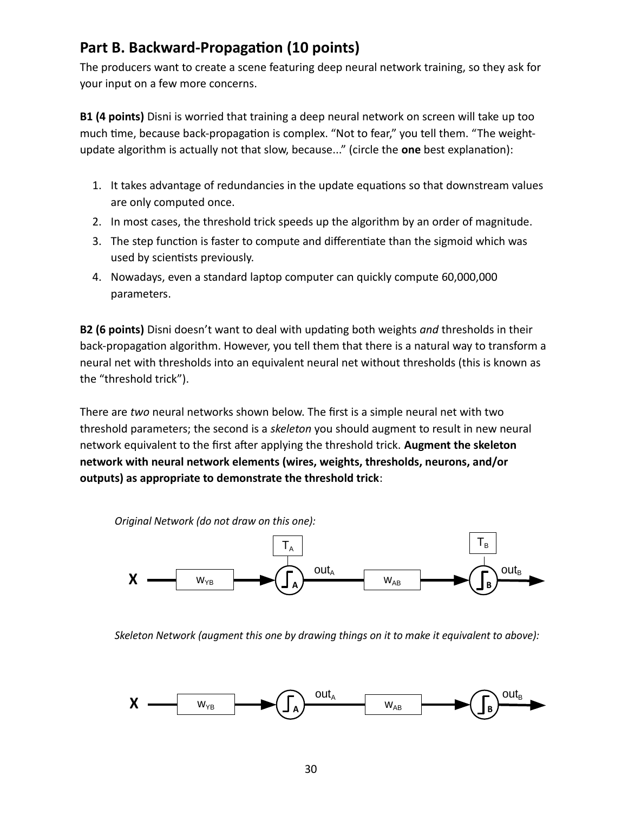#### **Part B. Backward-Propagation (10 points)**

The producers want to create a scene featuring deep neural network training, so they ask for your input on a few more concerns.

**B1 (4 points)** Disni is worried that training a deep neural network on screen will take up too much time, because back-propagation is complex. "Not to fear," you tell them. "The weightupdate algorithm is actually not that slow, because..." (circle the **one** best explanation):

- 1. It takes advantage of redundancies in the update equations so that downstream values are only computed once.
- 2. In most cases, the threshold trick speeds up the algorithm by an order of magnitude.
- 3. The step function is faster to compute and differentiate than the sigmoid which was used by scientists previously.
- 4. Nowadays, even a standard laptop computer can quickly compute 60,000,000 parameters.

**B2 (6 points)** Disni doesn't want to deal with updating both weights *and* thresholds in their back-propagation algorithm. However, you tell them that there is a natural way to transform a neural net with thresholds into an equivalent neural net without thresholds (this is known as the "threshold trick").

There are *two* neural networks shown below. The first is a simple neural net with two threshold parameters; the second is a *skeleton* you should augment to result in new neural network equivalent to the first after applying the threshold trick. **Augment the skeleton network with neural network elements (wires, weights, thresholds, neurons, and/or outputs) as appropriate to demonstrate the threshold trick**:



*Skeleton Network (augment this one by drawing things on it to make it equivalent to above):*

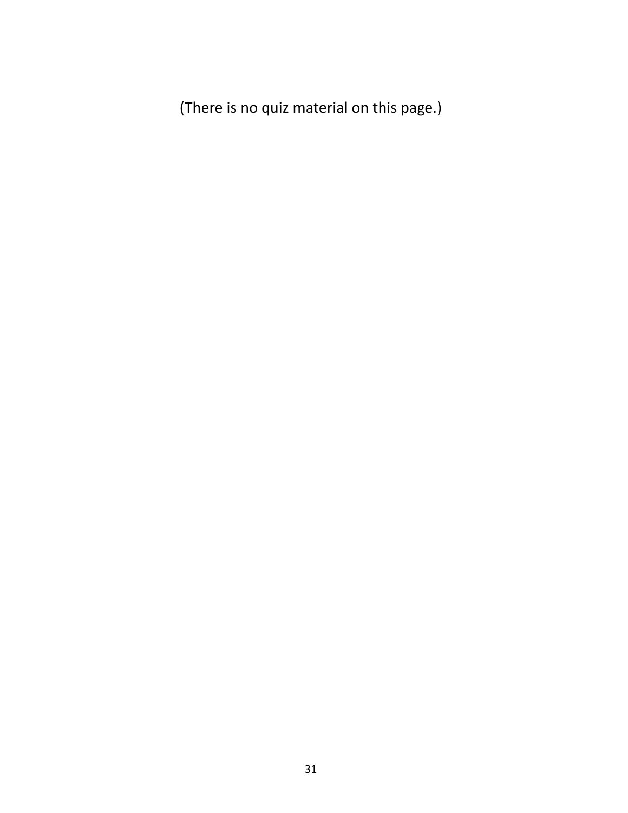(There is no quiz material on this page.)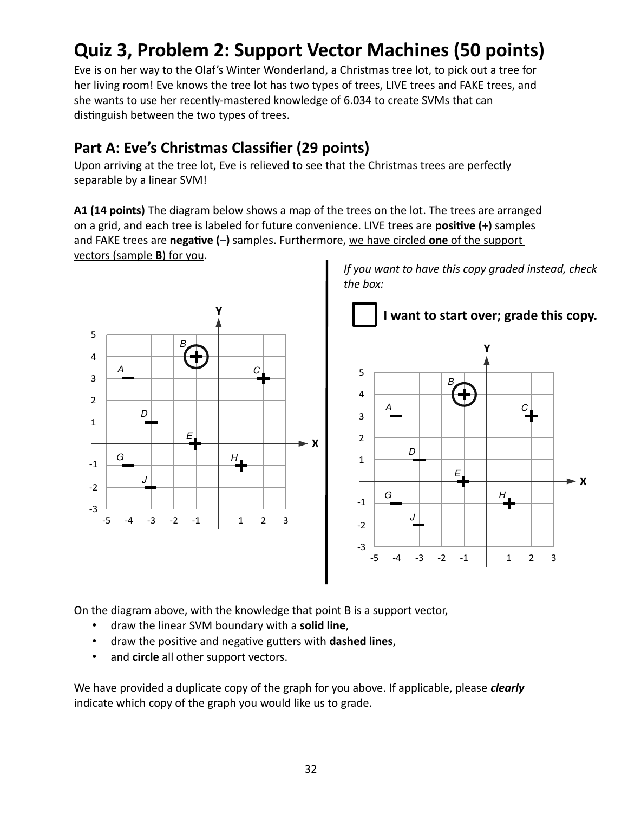## **Quiz 3, Problem 2: Support Vector Machines (50 points)**

Eve is on her way to the Olaf's Winter Wonderland, a Christmas tree lot, to pick out a tree for her living room! Eve knows the tree lot has two types of trees, LIVE trees and FAKE trees, and she wants to use her recently-mastered knowledge of 6.034 to create SVMs that can distinguish between the two types of trees.

### **Part A: Eve's Christmas Classifier (29 points)**

Upon arriving at the tree lot, Eve is relieved to see that the Christmas trees are perfectly separable by a linear SVM!

**A1 (14 points)** The diagram below shows a map of the trees on the lot. The trees are arranged on a grid, and each tree is labeled for future convenience. LIVE trees are **positive (+)** samples and FAKE trees are **negative (–)** samples. Furthermore, we have circled **one** of the support vectors (sample **B**) for you.



On the diagram above, with the knowledge that point B is a support vector,

- draw the linear SVM boundary with a **solid line**,
- draw the positive and negative gutters with **dashed lines**,
- and **circle** all other support vectors.

We have provided a duplicate copy of the graph for you above. If applicable, please *clearly* indicate which copy of the graph you would like us to grade.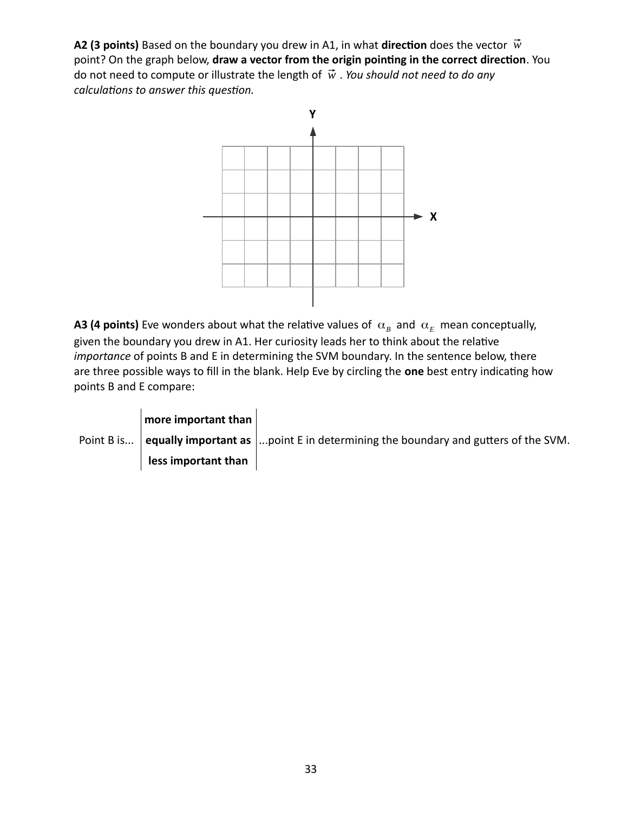**A2 (3 points)** Based on the boundary you drew in A1, in what direction does the vector  $\vec{w}$ point? On the graph below, **draw a vector from the origin pointing in the correct direction**. You do not need to compute or illustrate the length of ⃗*w* . *You should not need to do any calculations to answer this question.*



**A3 (4 points)** Eve wonders about what the relative values of  $\alpha_B$  and  $\alpha_E$  mean conceptually, given the boundary you drew in A1. Her curiosity leads her to think about the relative *importance* of points B and E in determining the SVM boundary. In the sentence below, there are three possible ways to fill in the blank. Help Eve by circling the **one** best entry indicating how points B and E compare:

| more important than |                                                                                                     |
|---------------------|-----------------------------------------------------------------------------------------------------|
|                     | Point B is equally important as $\vert$ point E in determining the boundary and gutters of the SVM. |
| less important than |                                                                                                     |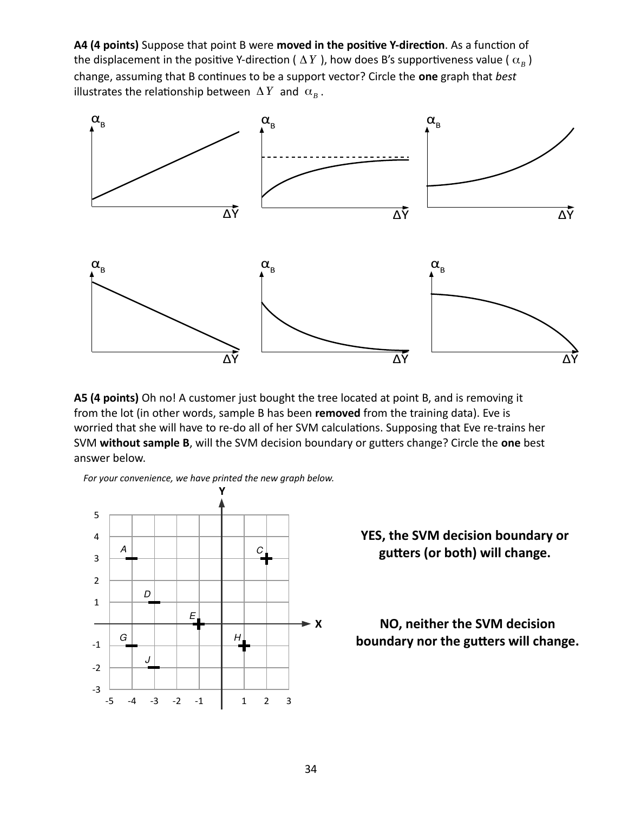**A4 (4 points)** Suppose that point B were **moved in the positive Y-direction**. As a function of the displacement in the positive Y-direction (  $\Delta\,Y$  ), how does B's supportiveness value (  $\alpha_{B}$  ) change, assuming that B continues to be a support vector? Circle the **one** graph that *best* illustrates the relationship between  $\Delta Y$  and  $\alpha_B^+$ .



**A5 (4 points)** Oh no! A customer just bought the tree located at point B, and is removing it from the lot (in other words, sample B has been **removed** from the training data). Eve is worried that she will have to re-do all of her SVM calculations. Supposing that Eve re-trains her SVM **without sample B**, will the SVM decision boundary or gutters change? Circle the **one** best answer below.

*For your convenience, we have printed the new graph below.*



#### **YES, the SVM decision boundary or gutters (or both) will change.**

**NO, neither the SVM decision boundary nor the gutters will change.**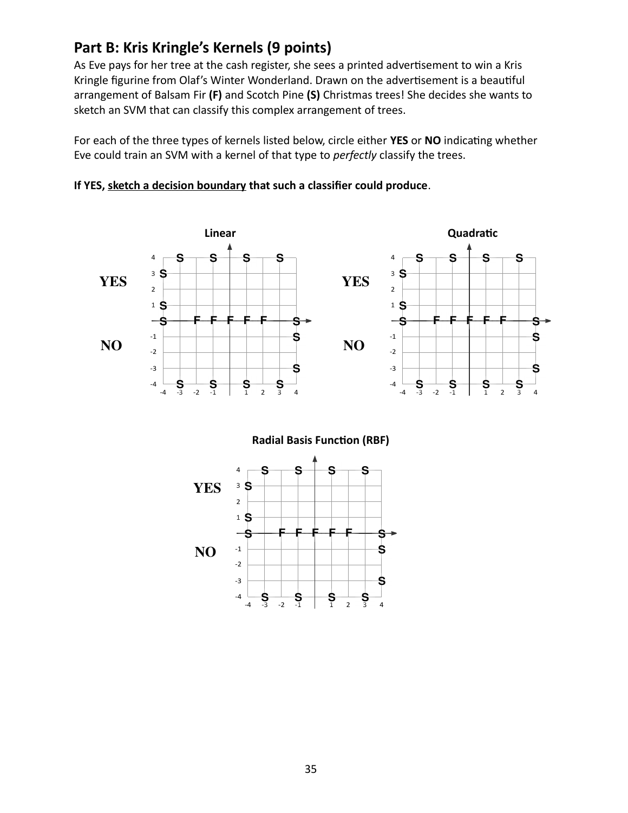#### **Part B: Kris Kringle's Kernels (9 points)**

As Eve pays for her tree at the cash register, she sees a printed advertisement to win a Kris Kringle figurine from Olaf's Winter Wonderland. Drawn on the advertisement is a beautiful arrangement of Balsam Fir **(F)** and Scotch Pine **(S)** Christmas trees! She decides she wants to sketch an SVM that can classify this complex arrangement of trees.

For each of the three types of kernels listed below, circle either **YES** or **NO** indicating whether Eve could train an SVM with a kernel of that type to *perfectly* classify the trees.





 **Radial Basis Function (RBF)**

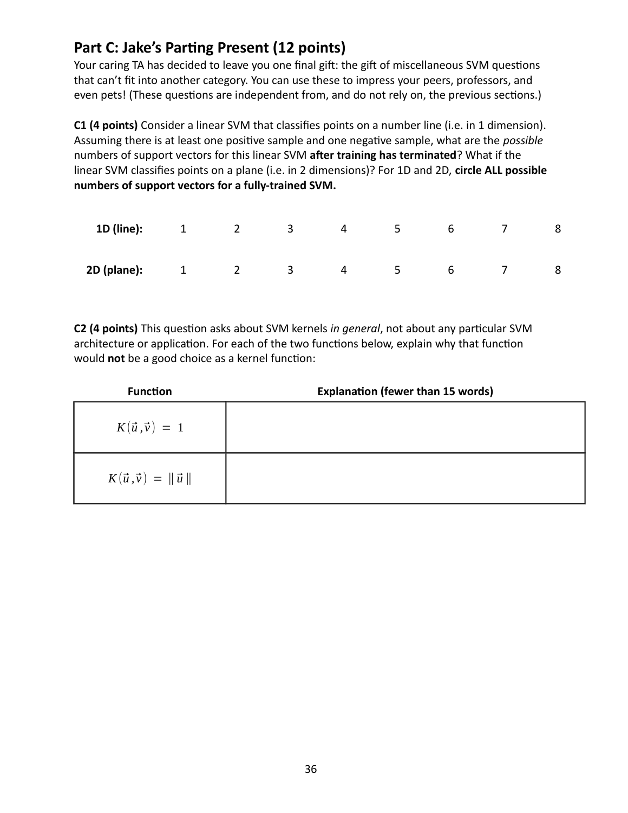#### **Part C: Jake's Parting Present (12 points)**

Your caring TA has decided to leave you one final gift: the gift of miscellaneous SVM questions that can't fit into another category. You can use these to impress your peers, professors, and even pets! (These questions are independent from, and do not rely on, the previous sections.)

**C1 (4 points)** Consider a linear SVM that classifies points on a number line (i.e. in 1 dimension). Assuming there is at least one positive sample and one negative sample, what are the *possible* numbers of support vectors for this linear SVM **after training has terminated**? What if the linear SVM classifies points on a plane (i.e. in 2 dimensions)? For 1D and 2D, **circle ALL possible numbers of support vectors for a fully-trained SVM.**

| 1D (line):  | $\overline{1}$ | $\overline{\mathbf{2}}$ | $\overline{\mathbf{3}}$ | 4 | $5 -$          | 6 |   |
|-------------|----------------|-------------------------|-------------------------|---|----------------|---|---|
| 2D (plane): | $1 \t 2$       |                         | $\overline{\mathbf{3}}$ | 4 | 5 <sub>1</sub> | 6 | 8 |

**C2 (4 points)** This question asks about SVM kernels *in general*, not about any particular SVM architecture or application. For each of the two functions below, explain why that function would **not** be a good choice as a kernel function:

| <b>Function</b>                     | <b>Explanation (fewer than 15 words)</b> |
|-------------------------------------|------------------------------------------|
| $K(\vec{u}, \vec{v}) = 1$           |                                          |
| $K(\vec{u}, \vec{v}) = \ \vec{u}\ $ |                                          |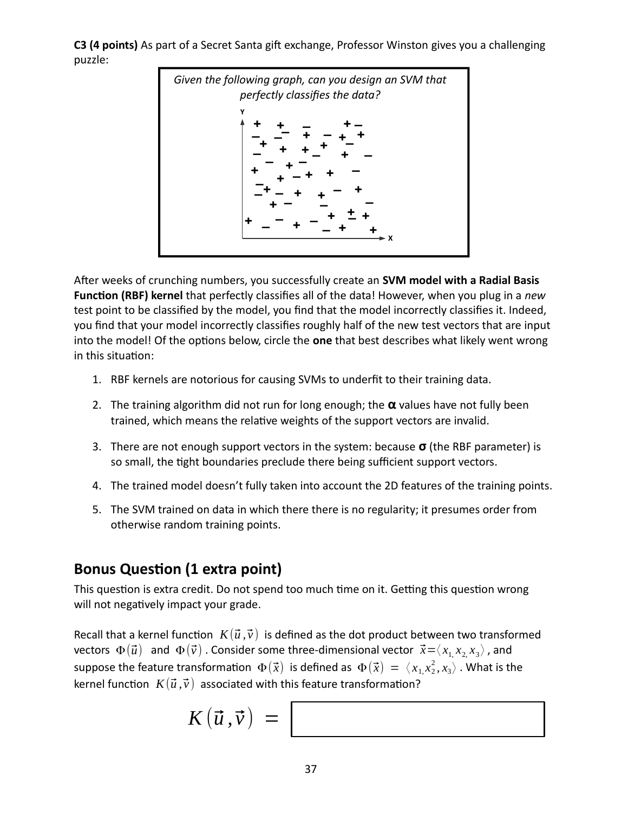**C3 (4 points)** As part of a Secret Santa gift exchange, Professor Winston gives you a challenging puzzle:



After weeks of crunching numbers, you successfully create an **SVM model with a Radial Basis Function (RBF) kernel** that perfectly classifies all of the data! However, when you plug in a *new* test point to be classified by the model, you find that the model incorrectly classifies it. Indeed, you find that your model incorrectly classifies roughly half of the new test vectors that are input into the model! Of the options below, circle the **one** that best describes what likely went wrong in this situation:

- 1. RBF kernels are notorious for causing SVMs to underfit to their training data.
- 2. The training algorithm did not run for long enough; the **α** values have not fully been trained, which means the relative weights of the support vectors are invalid.
- 3. There are not enough support vectors in the system: because **σ** (the RBF parameter) is so small, the tight boundaries preclude there being sufficient support vectors.
- 4. The trained model doesn't fully taken into account the 2D features of the training points.
- 5. The SVM trained on data in which there there is no regularity; it presumes order from otherwise random training points.

#### **Bonus Question (1 extra point)**

This question is extra credit. Do not spend too much time on it. Getting this question wrong will not negatively impact your grade.

Recall that a kernel function  $K(\vec{u}, \vec{v})$  is defined as the dot product between two transformed  $\text{vectors } \Phi(\vec{u})$  and  $\Phi(\vec{v})$  . Consider some three-dimensional vector  $\vec{x} = \langle x_1, x_2, x_3 \rangle$  , and suppose the feature transformation  $\Phi(\vec{x})$  is defined as  $\Phi(\vec{x}) = \langle x_1, x_2^2, x_3 \rangle$  . What is the kernel function  $K(\vec{u}, \vec{v})$  associated with this feature transformation?

$$
K(\vec{u}, \vec{v}) = \boxed{\phantom{\Big|}}
$$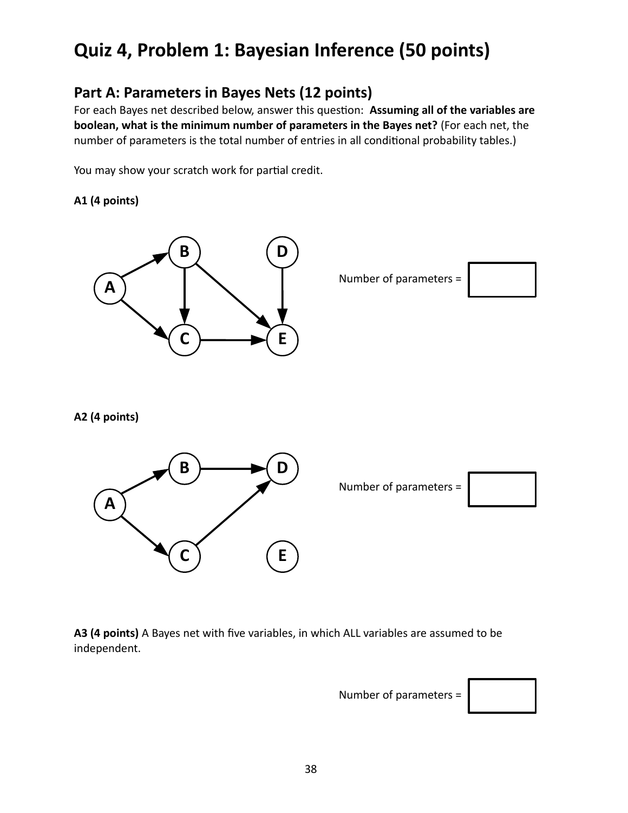### **Quiz 4, Problem 1: Bayesian Inference (50 points)**

#### **Part A: Parameters in Bayes Nets (12 points)**

For each Bayes net described below, answer this question: **Assuming all of the variables are boolean, what is the minimum number of parameters in the Bayes net?** (For each net, the number of parameters is the total number of entries in all conditional probability tables.)

You may show your scratch work for partial credit.

#### **A1 (4 points)**



Number of parameters =



**A2 (4 points)**



**A3 (4 points)** A Bayes net with five variables, in which ALL variables are assumed to be independent.

Number of parameters =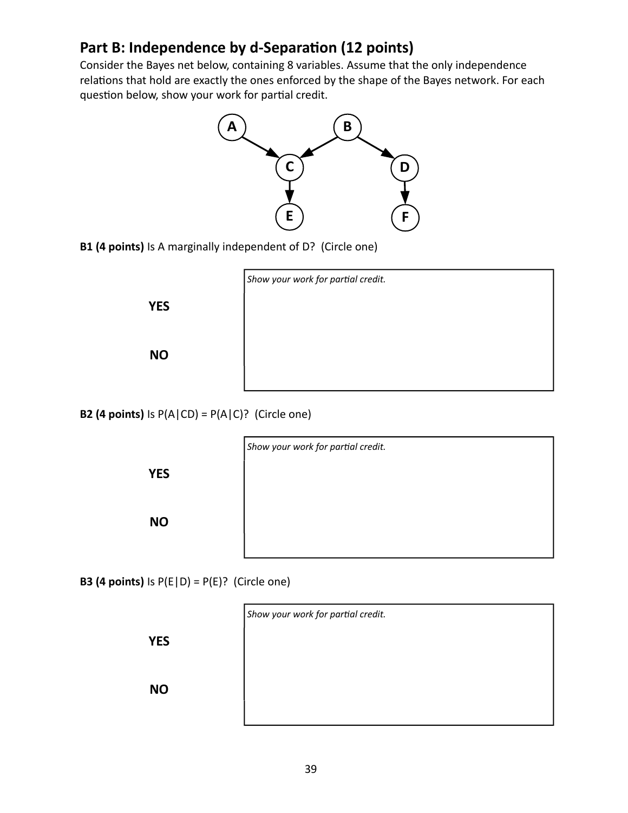#### **Part B: Independence by d-Separation (12 points)**

Consider the Bayes net below, containing 8 variables. Assume that the only independence relations that hold are exactly the ones enforced by the shape of the Bayes network. For each question below, show your work for partial credit.



**B1 (4 points)** Is A marginally independent of D? (Circle one)



**B2 (4 points)** Is  $P(A | CD) = P(A | C)$ ? (Circle one)

**YES**

**YES**

**NO**

**NO**



**B3 (4 points)** Is  $P(E|D) = P(E)$ ? (Circle one)

**YES**

**NO**

| Show your work for partial credit. |  |  |
|------------------------------------|--|--|
|                                    |  |  |
|                                    |  |  |
|                                    |  |  |
|                                    |  |  |

39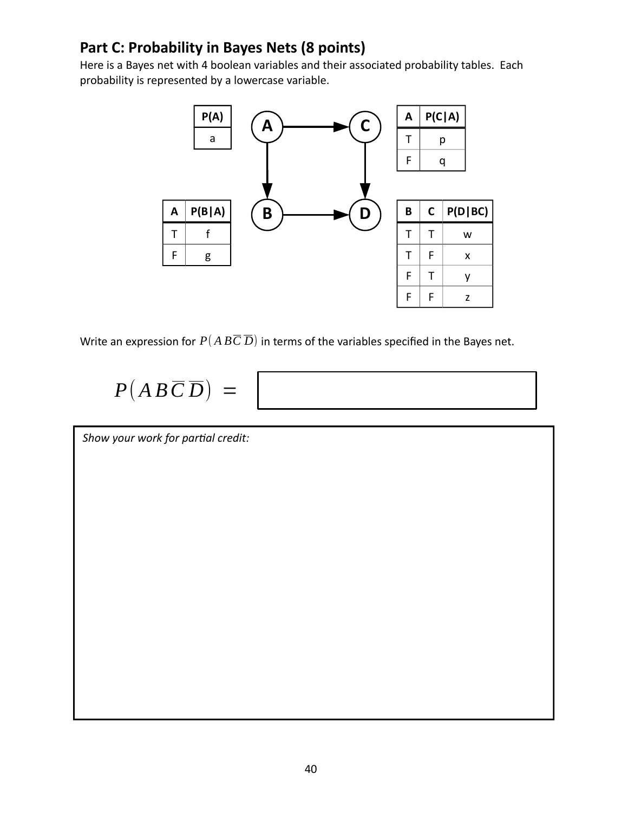### **Part C: Probability in Bayes Nets (8 points)**

Here is a Bayes net with 4 boolean variables and their associated probability tables. Each probability is represented by a lowercase variable.



Write an expression for  $P(A B\overline{C}\overline{D})$  in terms of the variables specified in the Bayes net.

# $P(AB\overline{C}\overline{D}) =$



*Show your work for partial credit:*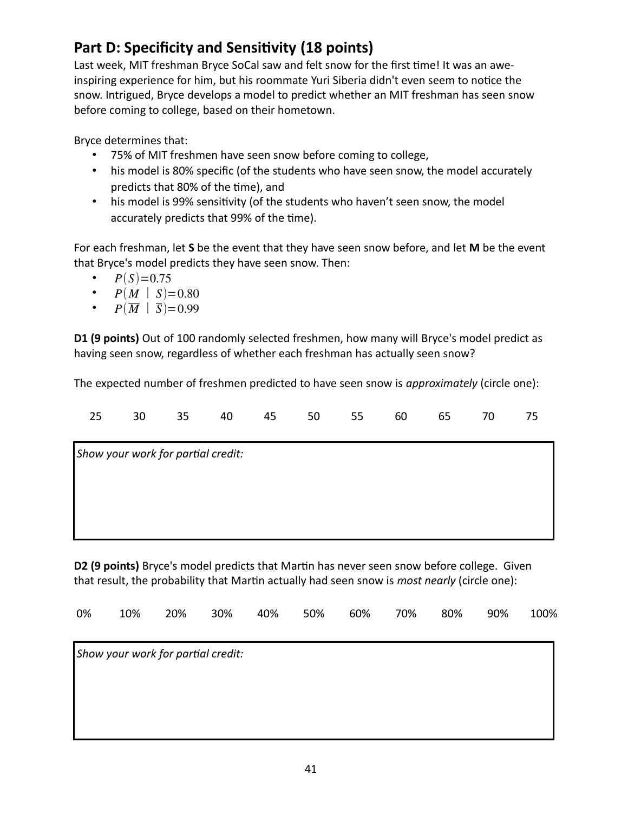### **Part D: Specificity and Sensitivity (18 points)**

Last week, MIT freshman Bryce SoCal saw and felt snow for the first time! It was an aweinspiring experience for him, but his roommate Yuri Siberia didn't even seem to notice the snow. Intrigued, Bryce develops a model to predict whether an MIT freshman has seen snow before coming to college, based on their hometown.

Bryce determines that:

- 75% of MIT freshmen have seen snow before coming to college,
- his model is 80% specific (of the students who have seen snow, the model accurately predicts that 80% of the time), and
- his model is 99% sensitivity (of the students who haven't seen snow, the model accurately predicts that 99% of the time).

For each freshman, let **S** be the event that they have seen snow before, and let **M** be the event that Bryce's model predicts they have seen snow. Then:

- $P(S)=0.75$
- $P(M | S) = 0.80$
- $P(\overline{M} | \overline{S}) = 0.99$

**D1 (9 points)** Out of 100 randomly selected freshmen, how many will Bryce's model predict as having seen snow, regardless of whether each freshman has actually seen snow?

The expected number of freshmen predicted to have seen snow is *approximately* (circle one):

| 25                                 | 30 | 35 | 40 | 45 | 50 | 55 | 60 | 65 | 70 | 75 |
|------------------------------------|----|----|----|----|----|----|----|----|----|----|
| Show your work for partial credit: |    |    |    |    |    |    |    |    |    |    |
|                                    |    |    |    |    |    |    |    |    |    |    |
|                                    |    |    |    |    |    |    |    |    |    |    |
|                                    |    |    |    |    |    |    |    |    |    |    |

**D2 (9 points)** Bryce's model predicts that Martin has never seen snow before college. Given that result, the probability that Martin actually had seen snow is *most nearly* (circle one):

| 0% | 10%                                | 20% | 30% | 40% | 50% | 60% | 70% | 80% | 90% | 100% |
|----|------------------------------------|-----|-----|-----|-----|-----|-----|-----|-----|------|
|    | Show your work for partial credit: |     |     |     |     |     |     |     |     |      |
|    |                                    |     |     |     |     |     |     |     |     |      |
|    |                                    |     |     |     |     |     |     |     |     |      |
|    |                                    |     |     |     |     |     |     |     |     |      |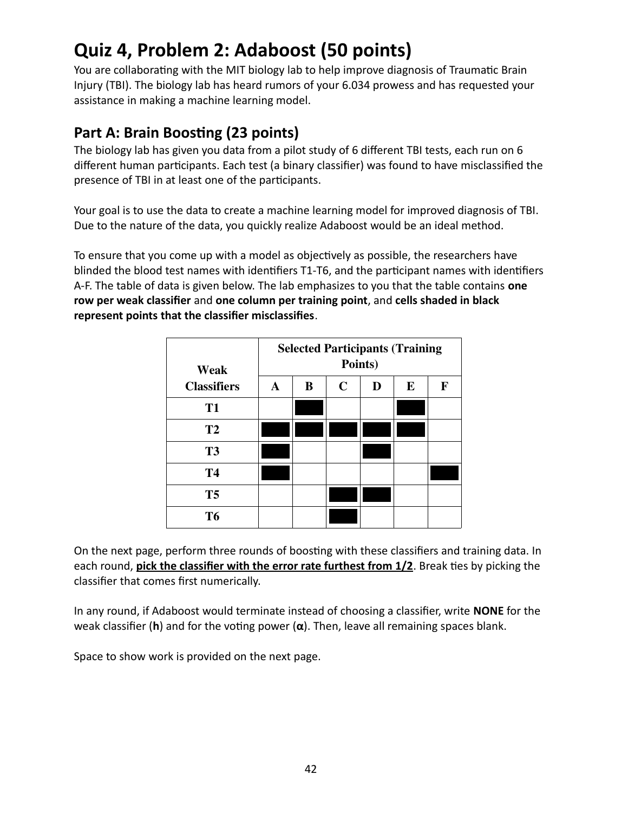### **Quiz 4, Problem 2: Adaboost (50 points)**

You are collaborating with the MIT biology lab to help improve diagnosis of Traumatic Brain Injury (TBI). The biology lab has heard rumors of your 6.034 prowess and has requested your assistance in making a machine learning model.

#### **Part A: Brain Boosting (23 points)**

The biology lab has given you data from a pilot study of 6 different TBI tests, each run on 6 different human participants. Each test (a binary classifier) was found to have misclassified the presence of TBI in at least one of the participants.

Your goal is to use the data to create a machine learning model for improved diagnosis of TBI. Due to the nature of the data, you quickly realize Adaboost would be an ideal method.

To ensure that you come up with a model as objectively as possible, the researchers have blinded the blood test names with identifiers T1-T6, and the participant names with identifiers A-F. The table of data is given below. The lab emphasizes to you that the table contains **one row per weak classifier** and **one column per training point**, and **cells shaded in black represent points that the classifier misclassifies**.

| Weak               | <b>Selected Participants (Training</b><br>Points) |   |             |   |          |   |  |  |
|--------------------|---------------------------------------------------|---|-------------|---|----------|---|--|--|
| <b>Classifiers</b> | A                                                 | B | $\mathbf C$ | D | $\bf{E}$ | F |  |  |
| <b>T1</b>          |                                                   |   |             |   |          |   |  |  |
| <b>T2</b>          |                                                   |   |             |   |          |   |  |  |
| <b>T3</b>          |                                                   |   |             |   |          |   |  |  |
| <b>T4</b>          |                                                   |   |             |   |          |   |  |  |
| T <sub>5</sub>     |                                                   |   |             |   |          |   |  |  |
| T <sub>6</sub>     |                                                   |   |             |   |          |   |  |  |

On the next page, perform three rounds of boosting with these classifiers and training data. In each round, **pick the classifier with the error rate furthest from 1/2**. Break ties by picking the classifier that comes first numerically.

In any round, if Adaboost would terminate instead of choosing a classifier, write **NONE** for the weak classifier (**h**) and for the voting power (**α**). Then, leave all remaining spaces blank.

Space to show work is provided on the next page.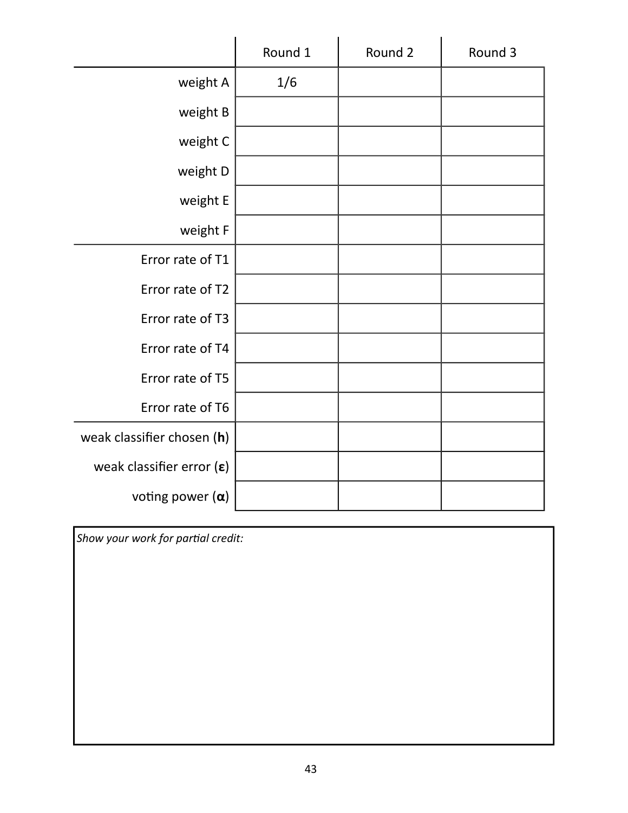|                                    | Round 1 | Round 2 | Round 3 |
|------------------------------------|---------|---------|---------|
| weight A                           | 1/6     |         |         |
| weight B                           |         |         |         |
| weight C                           |         |         |         |
| weight D                           |         |         |         |
| weight E                           |         |         |         |
| weight F                           |         |         |         |
| Error rate of T1                   |         |         |         |
| Error rate of T2                   |         |         |         |
| Error rate of T3                   |         |         |         |
| Error rate of T4                   |         |         |         |
| Error rate of T5                   |         |         |         |
| Error rate of T6                   |         |         |         |
| weak classifier chosen (h)         |         |         |         |
| weak classifier error $(\epsilon)$ |         |         |         |
| voting power $(\alpha)$            |         |         |         |

*Show your work for partial credit:*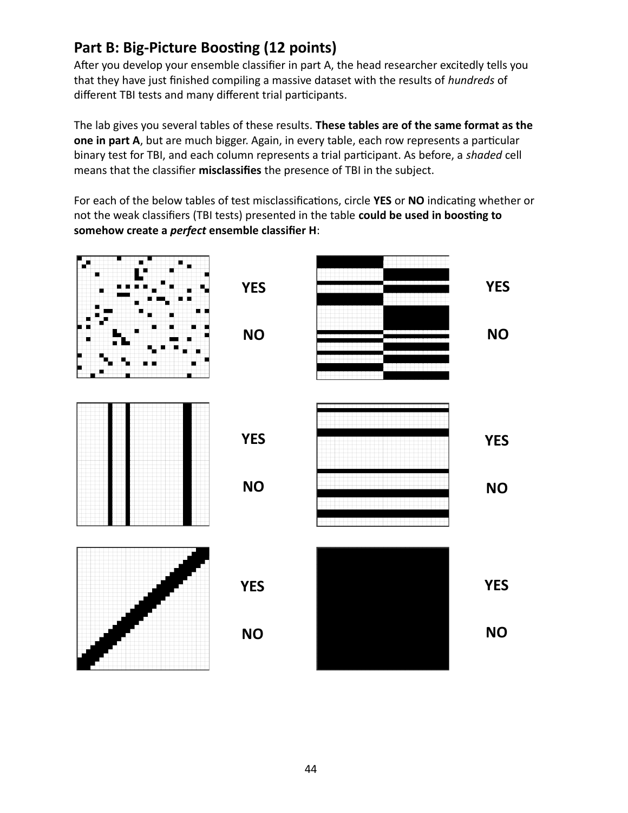#### **Part B: Big-Picture Boosting (12 points)**

After you develop your ensemble classifier in part A, the head researcher excitedly tells you that they have just finished compiling a massive dataset with the results of *hundreds* of different TBI tests and many different trial participants.

The lab gives you several tables of these results. **These tables are of the same format as the one in part A**, but are much bigger. Again, in every table, each row represents a particular binary test for TBI, and each column represents a trial participant. As before, a *shaded* cell means that the classifier **misclassifies** the presence of TBI in the subject.

For each of the below tables of test misclassifications, circle **YES** or **NO** indicating whether or not the weak classifiers (TBI tests) presented in the table **could be used in boosting to somehow create a** *perfect* **ensemble classifier H**: